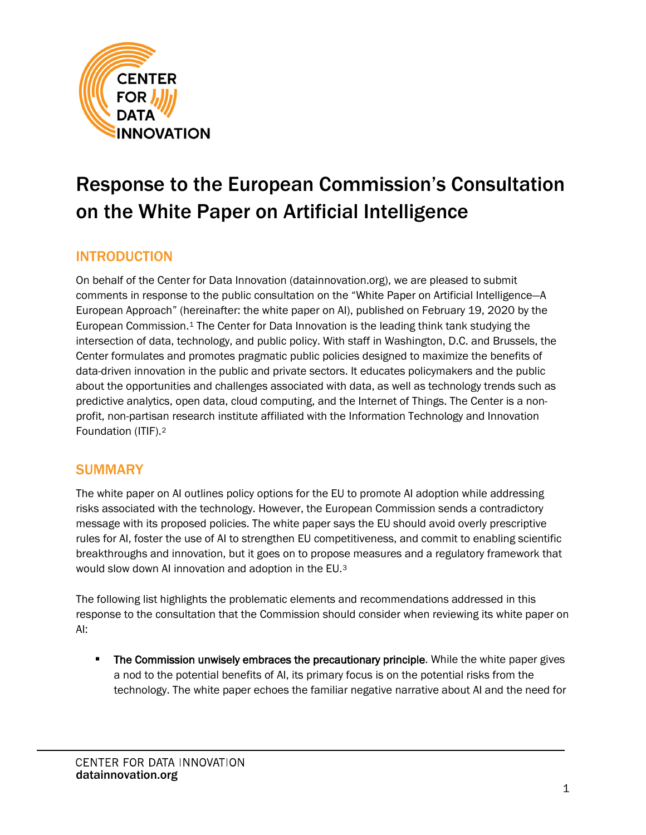

# Response to the European Commission's Consultation on the White Paper on Artificial Intelligence

# INTRODUCTION

On behalf of the Center for Data Innovation (datainnovation.org), we are pleased to submit comments in response to the public consultation on the "White Paper on Artificial Intelligence—A European Approach" (hereinafter: the white paper on AI), published on February 19, 2020 by the European Commission.[1](#page-23-0) The Center for Data Innovation is the leading think tank studying the intersection of data, technology, and public policy. With staff in Washington, D.C. and Brussels, the Center formulates and promotes pragmatic public policies designed to maximize the benefits of data-driven innovation in the public and private sectors. It educates policymakers and the public about the opportunities and challenges associated with data, as well as technology trends such as predictive analytics, open data, cloud computing, and the Internet of Things. The Center is a nonprofit, non-partisan research institute affiliated with the Information Technology and Innovation Foundation (ITIF)[.2](#page-23-1)

## **SUMMARY**

The white paper on AI outlines policy options for the EU to promote AI adoption while addressing risks associated with the technology. However, the European Commission sends a contradictory message with its proposed policies. The white paper says the EU should avoid overly prescriptive rules for AI, foster the use of AI to strengthen EU competitiveness, and commit to enabling scientific breakthroughs and innovation, but it goes on to propose measures and a regulatory framework that would slow down AI innovation and adoption in the EU.[3](#page-23-2)

The following list highlights the problematic elements and recommendations addressed in this response to the consultation that the Commission should consider when reviewing its white paper on AI:

**The Commission unwisely embraces the precautionary principle.** While the white paper gives a nod to the potential benefits of AI, its primary focus is on the potential risks from the technology. The white paper echoes the familiar negative narrative about AI and the need for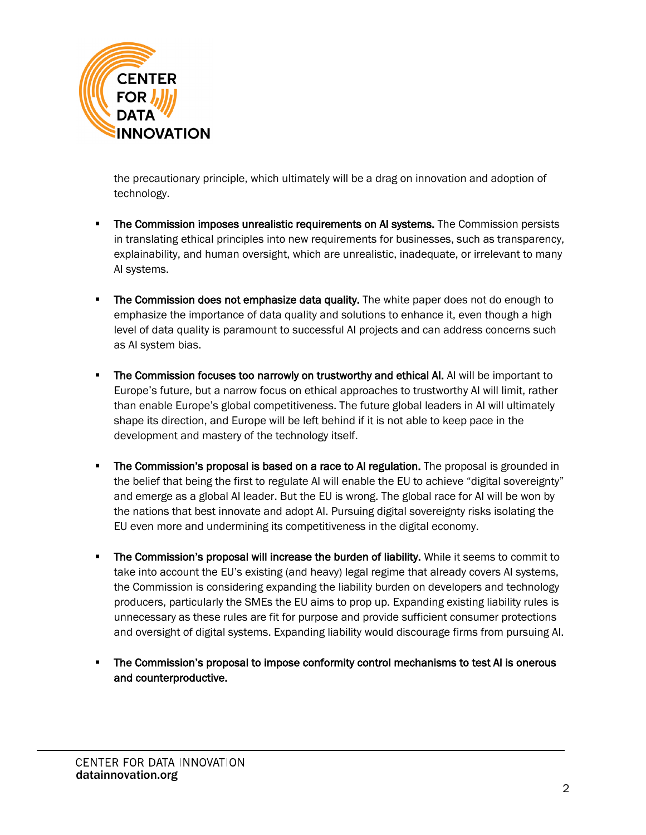

the precautionary principle, which ultimately will be a drag on innovation and adoption of technology.

- **The Commission imposes unrealistic requirements on AI systems.** The Commission persists in translating ethical principles into new requirements for businesses, such as transparency, explainability, and human oversight, which are unrealistic, inadequate, or irrelevant to many AI systems.
- **The Commission does not emphasize data quality.** The white paper does not do enough to emphasize the importance of data quality and solutions to enhance it, even though a high level of data quality is paramount to successful AI projects and can address concerns such as AI system bias.
- **The Commission focuses too narrowly on trustworthy and ethical AI.** AI will be important to Europe's future, but a narrow focus on ethical approaches to trustworthy AI will limit, rather than enable Europe's global competitiveness. The future global leaders in AI will ultimately shape its direction, and Europe will be left behind if it is not able to keep pace in the development and mastery of the technology itself.
- **The Commission's proposal is based on a race to AI regulation.** The proposal is grounded in the belief that being the first to regulate AI will enable the EU to achieve "digital sovereignty" and emerge as a global AI leader. But the EU is wrong. The global race for AI will be won by the nations that best innovate and adopt AI. Pursuing digital sovereignty risks isolating the EU even more and undermining its competitiveness in the digital economy.
- **The Commission's proposal will increase the burden of liability.** While it seems to commit to take into account the EU's existing (and heavy) legal regime that already covers AI systems, the Commission is considering expanding the liability burden on developers and technology producers, particularly the SMEs the EU aims to prop up. Expanding existing liability rules is unnecessary as these rules are fit for purpose and provide sufficient consumer protections and oversight of digital systems. Expanding liability would discourage firms from pursuing AI.
- The Commission's proposal to impose conformity control mechanisms to test AI is onerous and counterproductive.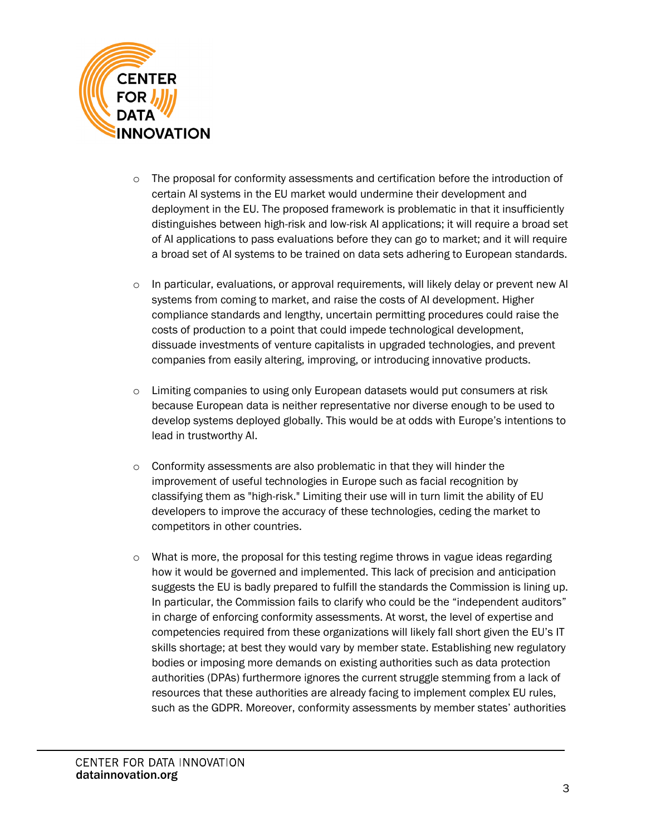

- $\circ$  The proposal for conformity assessments and certification before the introduction of certain AI systems in the EU market would undermine their development and deployment in the EU. The proposed framework is problematic in that it insufficiently distinguishes between high-risk and low-risk AI applications; it will require a broad set of AI applications to pass evaluations before they can go to market; and it will require a broad set of AI systems to be trained on data sets adhering to European standards.
- $\circ$  In particular, evaluations, or approval requirements, will likely delay or prevent new AI systems from coming to market, and raise the costs of AI development. Higher compliance standards and lengthy, uncertain permitting procedures could raise the costs of production to a point that could impede technological development, dissuade investments of venture capitalists in upgraded technologies, and prevent companies from easily altering, improving, or introducing innovative products.
- $\circ$  Limiting companies to using only European datasets would put consumers at risk because European data is neither representative nor diverse enough to be used to develop systems deployed globally. This would be at odds with Europe's intentions to lead in trustworthy AI.
- o Conformity assessments are also problematic in that they will hinder the improvement of useful technologies in Europe such as facial recognition by classifying them as "high-risk." Limiting their use will in turn limit the ability of EU developers to improve the accuracy of these technologies, ceding the market to competitors in other countries.
- $\circ$  What is more, the proposal for this testing regime throws in vague ideas regarding how it would be governed and implemented. This lack of precision and anticipation suggests the EU is badly prepared to fulfill the standards the Commission is lining up. In particular, the Commission fails to clarify who could be the "independent auditors" in charge of enforcing conformity assessments. At worst, the level of expertise and competencies required from these organizations will likely fall short given the EU's IT skills shortage; at best they would vary by member state. Establishing new regulatory bodies or imposing more demands on existing authorities such as data protection authorities (DPAs) furthermore ignores the current struggle stemming from a lack of resources that these authorities are already facing to implement complex EU rules, such as the GDPR. Moreover, conformity assessments by member states' authorities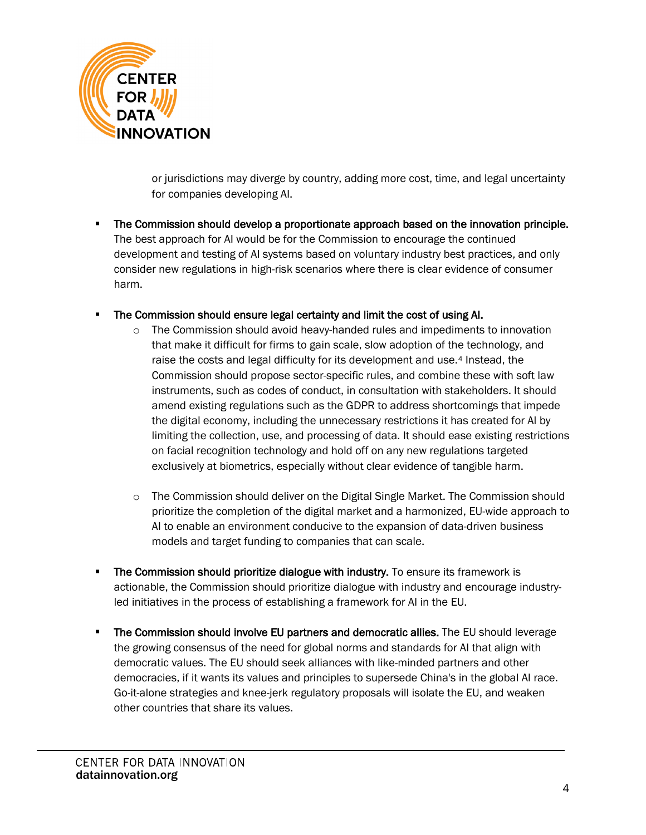

or jurisdictions may diverge by country, adding more cost, time, and legal uncertainty for companies developing AI.

- The Commission should develop a proportionate approach based on the innovation principle. The best approach for AI would be for the Commission to encourage the continued development and testing of AI systems based on voluntary industry best practices, and only consider new regulations in high-risk scenarios where there is clear evidence of consumer harm.
- The Commission should ensure legal certainty and limit the cost of using AI.
	- o The Commission should avoid heavy-handed rules and impediments to innovation that make it difficult for firms to gain scale, slow adoption of the technology, and raise the costs and legal difficulty for its development and use.<sup>[4](#page-23-3)</sup> Instead, the Commission should propose sector-specific rules, and combine these with soft law instruments, such as codes of conduct, in consultation with stakeholders. It should amend existing regulations such as the GDPR to address shortcomings that impede the digital economy, including the unnecessary restrictions it has created for AI by limiting the collection, use, and processing of data. It should ease existing restrictions on facial recognition technology and hold off on any new regulations targeted exclusively at biometrics, especially without clear evidence of tangible harm.
	- o The Commission should deliver on the Digital Single Market. The Commission should prioritize the completion of the digital market and a harmonized, EU-wide approach to AI to enable an environment conducive to the expansion of data-driven business models and target funding to companies that can scale.
- **The Commission should prioritize dialogue with industry.** To ensure its framework is actionable, the Commission should prioritize dialogue with industry and encourage industryled initiatives in the process of establishing a framework for AI in the EU.
- The Commission should involve EU partners and democratic allies. The EU should leverage the growing consensus of the need for global norms and standards for AI that align with democratic values. The EU should seek alliances with like-minded partners and other democracies, if it wants its values and principles to supersede China's in the global AI race. Go-it-alone strategies and knee-jerk regulatory proposals will isolate the EU, and weaken other countries that share its values.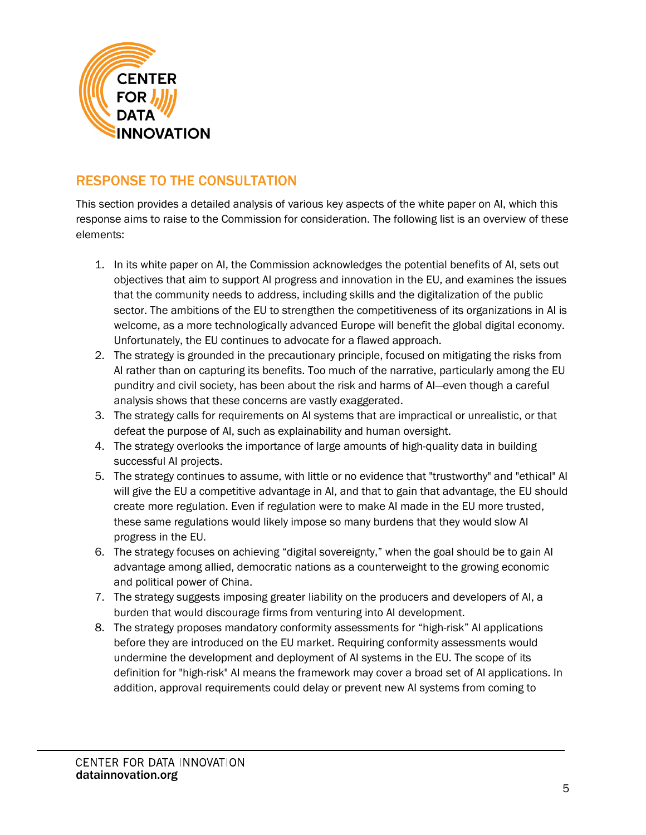

# RESPONSE TO THE CONSULTATION

This section provides a detailed analysis of various key aspects of the white paper on AI, which this response aims to raise to the Commission for consideration. The following list is an overview of these elements:

- 1. In its white paper on AI, the Commission acknowledges the potential benefits of AI, sets out objectives that aim to support AI progress and innovation in the EU, and examines the issues that the community needs to address, including skills and the digitalization of the public sector. The ambitions of the EU to strengthen the competitiveness of its organizations in AI is welcome, as a more technologically advanced Europe will benefit the global digital economy. Unfortunately, the EU continues to advocate for a flawed approach.
- 2. The strategy is grounded in the precautionary principle, focused on mitigating the risks from AI rather than on capturing its benefits. Too much of the narrative, particularly among the EU punditry and civil society, has been about the risk and harms of AI—even though a careful analysis shows that these concerns are vastly exaggerated.
- 3. The strategy calls for requirements on AI systems that are impractical or unrealistic, or that defeat the purpose of AI, such as explainability and human oversight.
- 4. The strategy overlooks the importance of large amounts of high-quality data in building successful AI projects.
- 5. The strategy continues to assume, with little or no evidence that "trustworthy" and "ethical" AI will give the EU a competitive advantage in AI, and that to gain that advantage, the EU should create more regulation. Even if regulation were to make AI made in the EU more trusted, these same regulations would likely impose so many burdens that they would slow AI progress in the EU.
- 6. The strategy focuses on achieving "digital sovereignty," when the goal should be to gain AI advantage among allied, democratic nations as a counterweight to the growing economic and political power of China.
- 7. The strategy suggests imposing greater liability on the producers and developers of AI, a burden that would discourage firms from venturing into AI development.
- 8. The strategy proposes mandatory conformity assessments for "high-risk" AI applications before they are introduced on the EU market. Requiring conformity assessments would undermine the development and deployment of AI systems in the EU. The scope of its definition for "high-risk" AI means the framework may cover a broad set of AI applications. In addition, approval requirements could delay or prevent new AI systems from coming to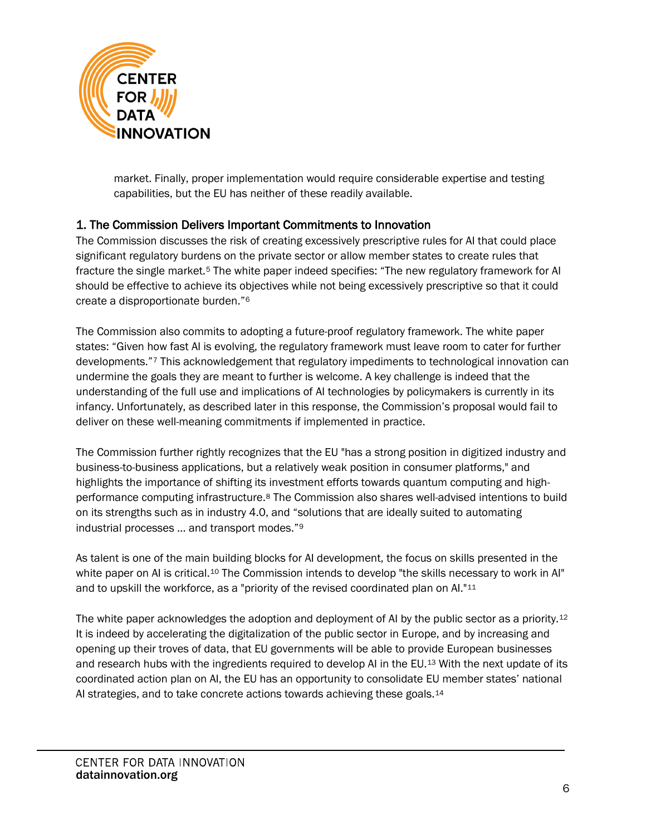

market. Finally, proper implementation would require considerable expertise and testing capabilities, but the EU has neither of these readily available.

## 1. The Commission Delivers Important Commitments to Innovation

The Commission discusses the risk of creating excessively prescriptive rules for AI that could place significant regulatory burdens on the private sector or allow member states to create rules that fracture the single market.<sup>[5](#page-24-0)</sup> The white paper indeed specifies: "The new regulatory framework for AI should be effective to achieve its objectives while not being excessively prescriptive so that it could create a disproportionate burden."[6](#page-24-1)

The Commission also commits to adopting a future-proof regulatory framework. The white paper states: "Given how fast AI is evolving, the regulatory framework must leave room to cater for further developments."[7](#page-24-2) This acknowledgement that regulatory impediments to technological innovation can undermine the goals they are meant to further is welcome. A key challenge is indeed that the understanding of the full use and implications of AI technologies by policymakers is currently in its infancy. Unfortunately, as described later in this response, the Commission's proposal would fail to deliver on these well-meaning commitments if implemented in practice.

The Commission further rightly recognizes that the EU "has a strong position in digitized industry and business-to-business applications, but a relatively weak position in consumer platforms," and highlights the importance of shifting its investment efforts towards quantum computing and highperformance computing infrastructure.[8](#page-24-3) The Commission also shares well-advised intentions to build on its strengths such as in industry 4.0, and "solutions that are ideally suited to automating industrial processes … and transport modes."[9](#page-24-4)

As talent is one of the main building blocks for AI development, the focus on skills presented in the white paper on AI is critical.<sup>[10](#page-24-5)</sup> The Commission intends to develop "the skills necessary to work in AI" and to upskill the workforce, as a "priority of the revised coordinated plan on AI."[11](#page-24-6)

The white paper acknowledges the adoption and deployment of AI by the public sector as a priority.[12](#page-24-7) It is indeed by accelerating the digitalization of the public sector in Europe, and by increasing and opening up their troves of data, that EU governments will be able to provide European businesses and research hubs with the ingredients required to develop AI in the EU.[13](#page-24-8) With the next update of its coordinated action plan on AI, the EU has an opportunity to consolidate EU member states' national AI strategies, and to take concrete actions towards achieving these goals.[14](#page-24-9)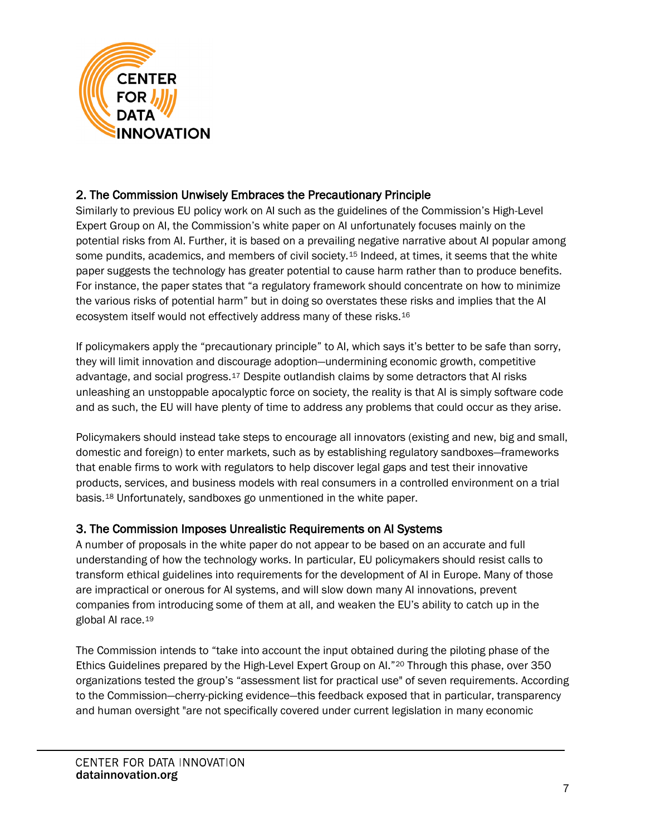

## 2. The Commission Unwisely Embraces the Precautionary Principle

Similarly to previous EU policy work on AI such as the guidelines of the Commission's High-Level Expert Group on AI, the Commission's white paper on AI unfortunately focuses mainly on the potential risks from AI. Further, it is based on a prevailing negative narrative about AI popular among some pundits, academics, and members of civil society.<sup>[15](#page-24-10)</sup> Indeed, at times, it seems that the white paper suggests the technology has greater potential to cause harm rather than to produce benefits. For instance, the paper states that "a regulatory framework should concentrate on how to minimize the various risks of potential harm" but in doing so overstates these risks and implies that the AI ecosystem itself would not effectively address many of these risks.[16](#page-24-11)

If policymakers apply the "precautionary principle" to AI, which says it's better to be safe than sorry, they will limit innovation and discourage adoption—undermining economic growth, competitive advantage, and social progress.[17](#page-24-12) Despite outlandish claims by some detractors that AI risks unleashing an unstoppable apocalyptic force on society, the reality is that AI is simply software code and as such, the EU will have plenty of time to address any problems that could occur as they arise.

Policymakers should instead take steps to encourage all innovators (existing and new, big and small, domestic and foreign) to enter markets, such as by establishing regulatory sandboxes—frameworks that enable firms to work with regulators to help discover legal gaps and test their innovative products, services, and business models with real consumers in a controlled environment on a trial basis.[18](#page-24-13) Unfortunately, sandboxes go unmentioned in the white paper.

## 3. The Commission Imposes Unrealistic Requirements on AI Systems

A number of proposals in the white paper do not appear to be based on an accurate and full understanding of how the technology works. In particular, EU policymakers should resist calls to transform ethical guidelines into requirements for the development of AI in Europe. Many of those are impractical or onerous for AI systems, and will slow down many AI innovations, prevent companies from introducing some of them at all, and weaken the EU's ability to catch up in the global AI race.[19](#page-24-14)

The Commission intends to "take into account the input obtained during the piloting phase of the Ethics Guidelines prepared by the High-Level Expert Group on AI."[20](#page-25-0) Through this phase, over 350 organizations tested the group's "assessment list for practical use" of seven requirements. According to the Commission—cherry-picking evidence—this feedback exposed that in particular, transparency and human oversight "are not specifically covered under current legislation in many economic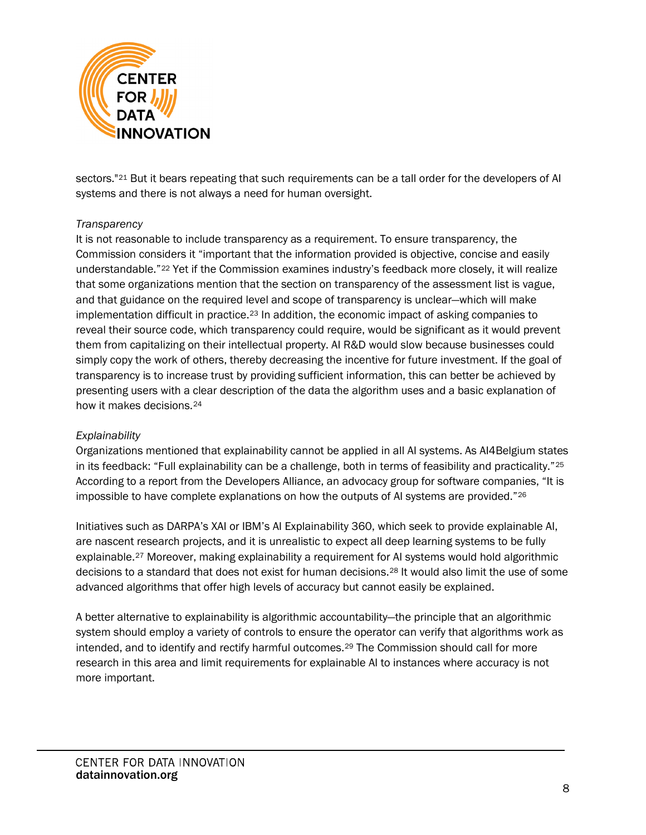

sectors."[21](#page-25-1) But it bears repeating that such requirements can be a tall order for the developers of AI systems and there is not always a need for human oversight.

#### *Transparency*

It is not reasonable to include transparency as a requirement. To ensure transparency, the Commission considers it "important that the information provided is objective, concise and easily understandable."[22](#page-25-2) Yet if the Commission examines industry's feedback more closely, it will realize that some organizations mention that the section on transparency of the assessment list is vague, and that guidance on the required level and scope of transparency is unclear—which will make implementation difficult in practice.[23](#page-25-3) In addition, the economic impact of asking companies to reveal their source code, which transparency could require, would be significant as it would prevent them from capitalizing on their intellectual property. AI R&D would slow because businesses could simply copy the work of others, thereby decreasing the incentive for future investment. If the goal of transparency is to increase trust by providing sufficient information, this can better be achieved by presenting users with a clear description of the data the algorithm uses and a basic explanation of how it makes decisions.[24](#page-25-4)

#### *Explainability*

Organizations mentioned that explainability cannot be applied in all AI systems. As AI4Belgium states in its feedback: "Full explainability can be a challenge, both in terms of feasibility and practicality."[25](#page-25-5) According to a report from the Developers Alliance, an advocacy group for software companies, "It is impossible to have complete explanations on how the outputs of AI systems are provided."[26](#page-25-6)

Initiatives such as DARPA's XAI or IBM's AI Explainability 360, which seek to provide explainable AI, are nascent research projects, and it is unrealistic to expect all deep learning systems to be fully explainable.<sup>[27](#page-25-7)</sup> Moreover, making explainability a requirement for AI systems would hold algorithmic decisions to a standard that does not exist for human decisions.[28](#page-25-8) It would also limit the use of some advanced algorithms that offer high levels of accuracy but cannot easily be explained.

A better alternative to explainability is algorithmic accountability—the principle that an algorithmic system should employ a variety of controls to ensure the operator can verify that algorithms work as intended, and to identify and rectify harmful outcomes.[29](#page-25-9) The Commission should call for more research in this area and limit requirements for explainable AI to instances where accuracy is not more important.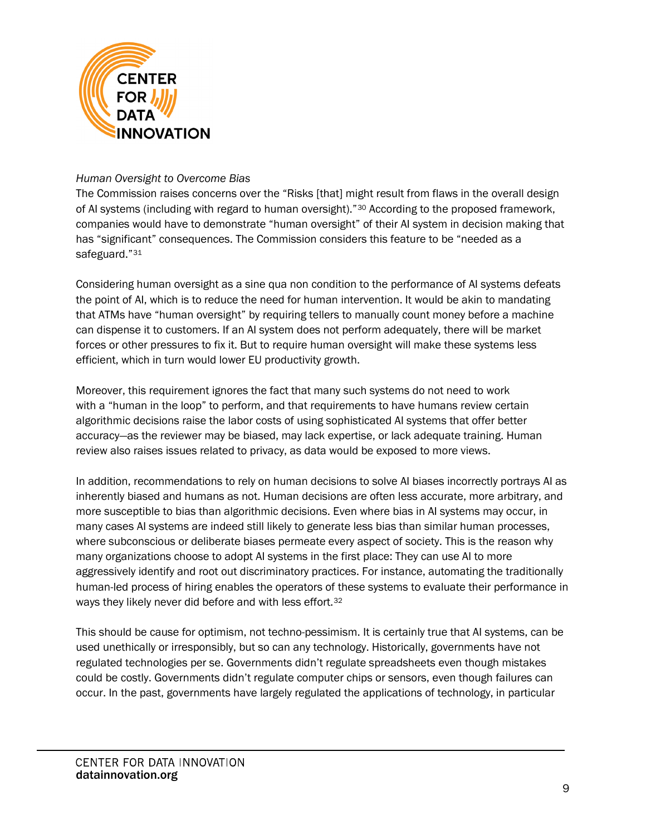

#### *Human Oversight to Overcome Bias*

The Commission raises concerns over the "Risks [that] might result from flaws in the overall design of AI systems (including with regard to human oversight)."[30](#page-25-10) According to the proposed framework, companies would have to demonstrate "human oversight" of their AI system in decision making that has "significant" consequences. The Commission considers this feature to be "needed as a safeguard."[31](#page-25-11)

Considering human oversight as a sine qua non condition to the performance of AI systems defeats the point of AI, which is to reduce the need for human intervention. It would be akin to mandating that ATMs have "human oversight" by requiring tellers to manually count money before a machine can dispense it to customers. If an AI system does not perform adequately, there will be market forces or other pressures to fix it. But to require human oversight will make these systems less efficient, which in turn would lower EU productivity growth.

Moreover, this requirement ignores the fact that many such systems do not need to work with a "human in the loop" to perform, and that requirements to have humans review certain algorithmic decisions raise the labor costs of using sophisticated AI systems that offer better accuracy—as the reviewer may be biased, may lack expertise, or lack adequate training. Human review also raises issues related to privacy, as data would be exposed to more views.

In addition, recommendations to rely on human decisions to solve AI biases incorrectly portrays AI as inherently biased and humans as not. Human decisions are often less accurate, more arbitrary, and more susceptible to bias than algorithmic decisions. Even where bias in AI systems may occur, in many cases AI systems are indeed still likely to generate less bias than similar human processes, where subconscious or deliberate biases permeate every aspect of society. This is the reason why many organizations choose to adopt AI systems in the first place: They can use AI to more aggressively identify and root out discriminatory practices. For instance, automating the traditionally human-led process of hiring enables the operators of these systems to evaluate their performance in ways they likely never did before and with less effort.[32](#page-26-0)

This should be cause for optimism, not techno-pessimism. It is certainly true that AI systems, can be used unethically or irresponsibly, but so can any technology. Historically, governments have not regulated technologies per se. Governments didn't regulate spreadsheets even though mistakes could be costly. Governments didn't regulate computer chips or sensors, even though failures can occur. In the past, governments have largely regulated the applications of technology, in particular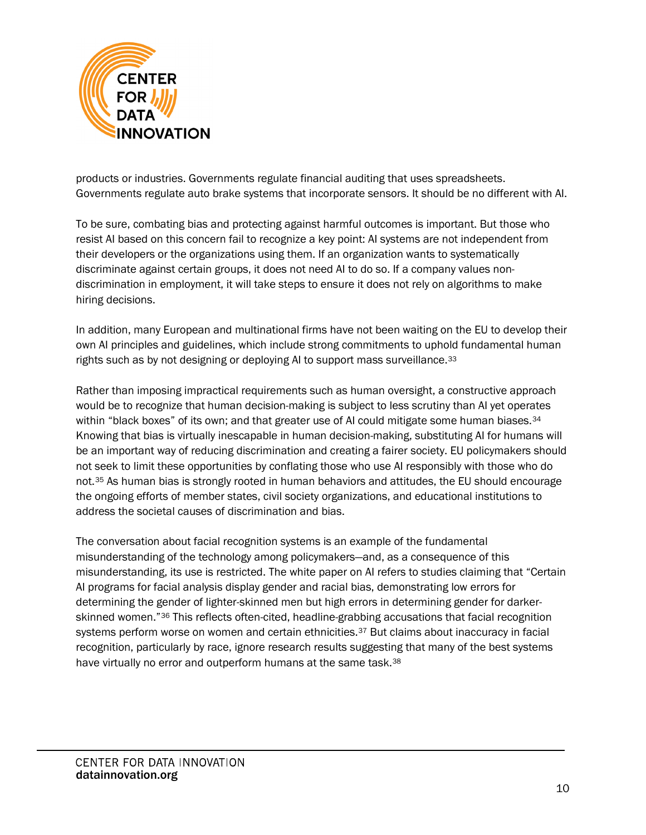

products or industries. Governments regulate financial auditing that uses spreadsheets. Governments regulate auto brake systems that incorporate sensors. It should be no different with AI.

To be sure, combating bias and protecting against harmful outcomes is important. But those who resist AI based on this concern fail to recognize a key point: AI systems are not independent from their developers or the organizations using them. If an organization wants to systematically discriminate against certain groups, it does not need AI to do so. If a company values nondiscrimination in employment, it will take steps to ensure it does not rely on algorithms to make hiring decisions.

In addition, many European and multinational firms have not been waiting on the EU to develop their own AI principles and guidelines, which include strong commitments to uphold fundamental human rights such as by not designing or deploying AI to support mass surveillance.<sup>[33](#page-26-1)</sup>

Rather than imposing impractical requirements such as human oversight, a constructive approach would be to recognize that human decision-making is subject to less scrutiny than AI yet operates within "black boxes" of its own; and that greater use of AI could mitigate some human biases.<sup>[34](#page-26-2)</sup> Knowing that bias is virtually inescapable in human decision-making, substituting AI for humans will be an important way of reducing discrimination and creating a fairer society. EU policymakers should not seek to limit these opportunities by conflating those who use AI responsibly with those who do not.[35](#page-26-3) As human bias is strongly rooted in human behaviors and attitudes, the EU should encourage the ongoing efforts of member states, civil society organizations, and educational institutions to address the societal causes of discrimination and bias.

The conversation about facial recognition systems is an example of the fundamental misunderstanding of the technology among policymakers—and, as a consequence of this misunderstanding, its use is restricted. The white paper on AI refers to studies claiming that "Certain AI programs for facial analysis display gender and racial bias, demonstrating low errors for determining the gender of lighter-skinned men but high errors in determining gender for darkerskinned women."[36](#page-26-4) This reflects often-cited, headline-grabbing accusations that facial recognition systems perform worse on women and certain ethnicities.<sup>[37](#page-26-5)</sup> But claims about inaccuracy in facial recognition, particularly by race, ignore research results suggesting that many of the best systems have virtually no error and outperform humans at the same task.<sup>[38](#page-26-6)</sup>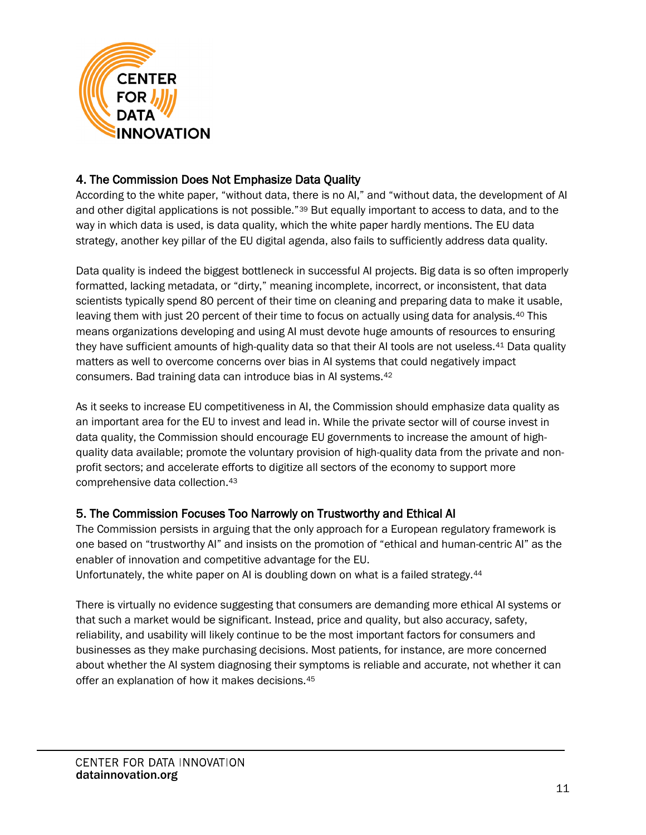

## 4. The Commission Does Not Emphasize Data Quality

According to the white paper, "without data, there is no AI," and "without data, the development of AI and other digital applications is not possible."<sup>[39](#page-26-7)</sup> But equally important to access to data, and to the way in which data is used, is data quality, which the white paper hardly mentions. The EU data strategy, another key pillar of the EU digital agenda, also fails to sufficiently address data quality.

Data quality is indeed the biggest bottleneck in successful AI projects. Big data is so often improperly formatted, lacking metadata, or "dirty," meaning incomplete, incorrect, or inconsistent, that data scientists typically spend 80 percent of their time on cleaning and preparing data to make it usable, leaving them with just 20 percent of their time to focus on actually using data for analysis.[40](#page-26-8) This means organizations developing and using AI must devote huge amounts of resources to ensuring they have sufficient amounts of high-quality data so that their AI tools are not useless.[41](#page-26-9) Data quality matters as well to overcome concerns over bias in AI systems that could negatively impact consumers. Bad training data can introduce bias in AI systems.[42](#page-26-10)

As it seeks to increase EU competitiveness in AI, the Commission should emphasize data quality as an important area for the EU to invest and lead in. While the private sector will of course invest in data quality, the Commission should encourage EU governments to increase the amount of highquality data available; promote the voluntary provision of high-quality data from the private and nonprofit sectors; and accelerate efforts to digitize all sectors of the economy to support more comprehensive data collection.[43](#page-26-11)

## 5. The Commission Focuses Too Narrowly on Trustworthy and Ethical AI

The Commission persists in arguing that the only approach for a European regulatory framework is one based on "trustworthy AI" and insists on the promotion of "ethical and human-centric AI" as the enabler of innovation and competitive advantage for the EU.

Unfortunately, the white paper on AI is doubling down on what is a failed strategy.[44](#page-26-12)

There is virtually no evidence suggesting that consumers are demanding more ethical AI systems or that such a market would be significant. Instead, price and quality, but also accuracy, safety, reliability, and usability will likely continue to be the most important factors for consumers and businesses as they make purchasing decisions. Most patients, for instance, are more concerned about whether the AI system diagnosing their symptoms is reliable and accurate, not whether it can offer an explanation of how it makes decisions.[45](#page-26-13)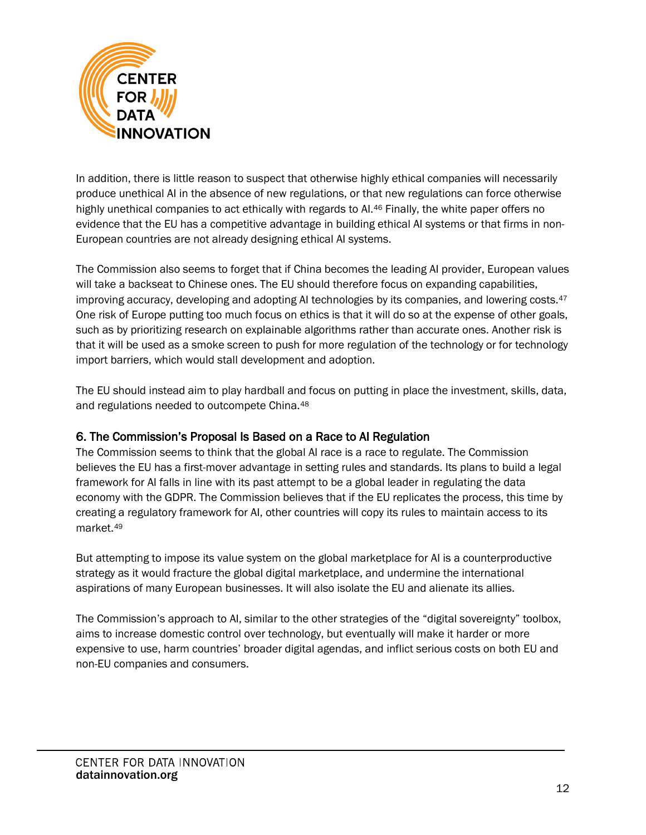

In addition, there is little reason to suspect that otherwise highly ethical companies will necessarily produce unethical AI in the absence of new regulations, or that new regulations can force otherwise highly unethical companies to act ethically with regards to AI.<sup>46</sup> Finally, the white paper offers no evidence that the EU has a competitive advantage in building ethical AI systems or that firms in non-European countries are not already designing ethical AI systems.

The Commission also seems to forget that if China becomes the leading AI provider, European values will take a backseat to Chinese ones. The EU should therefore focus on expanding capabilities, improving accuracy, developing and adopting AI technologies by its companies, and lowering costs.<sup>[47](#page-27-1)</sup> One risk of Europe putting too much focus on ethics is that it will do so at the expense of other goals, such as by prioritizing research on explainable algorithms rather than accurate ones. Another risk is that it will be used as a smoke screen to push for more regulation of the technology or for technology import barriers, which would stall development and adoption.

The EU should instead aim to play hardball and focus on putting in place the investment, skills, data, and regulations needed to outcompete China.[48](#page-27-2)

## 6. The Commission's Proposal Is Based on a Race to AI Regulation

The Commission seems to think that the global AI race is a race to regulate. The Commission believes the EU has a first-mover advantage in setting rules and standards. Its plans to build a legal framework for AI falls in line with its past attempt to be a global leader in regulating the data economy with the GDPR. The Commission believes that if the EU replicates the process, this time by creating a regulatory framework for AI, other countries will copy its rules to maintain access to its market.[49](#page-27-3)

But attempting to impose its value system on the global marketplace for AI is a counterproductive strategy as it would fracture the global digital marketplace, and undermine the international aspirations of many European businesses. It will also isolate the EU and alienate its allies.

The Commission's approach to AI, similar to the other strategies of the "digital sovereignty" toolbox, aims to increase domestic control over technology, but eventually will make it harder or more expensive to use, harm countries' broader digital agendas, and inflict serious costs on both EU and non-EU companies and consumers.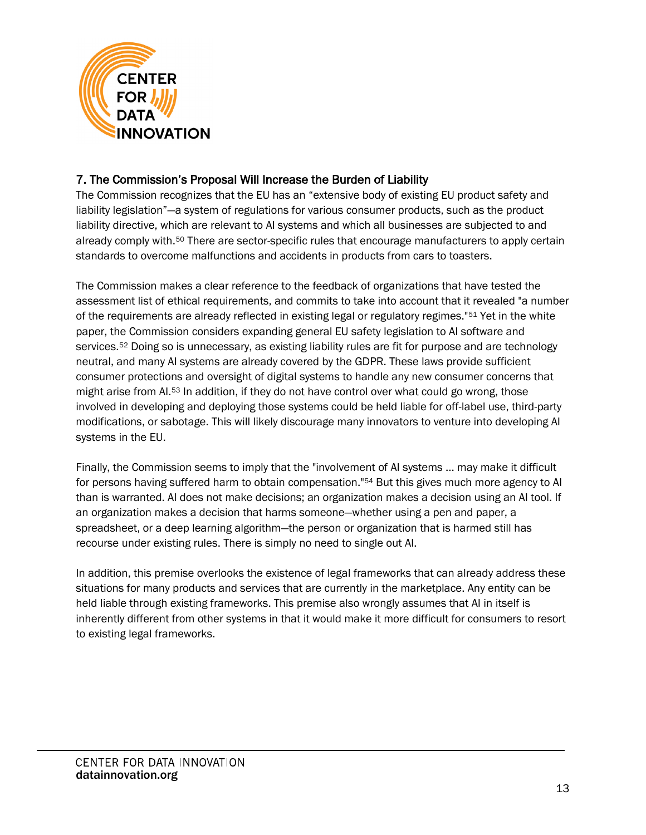

## 7. The Commission's Proposal Will Increase the Burden of Liability

The Commission recognizes that the EU has an "extensive body of existing EU product safety and liability legislation"—a system of regulations for various consumer products, such as the product liability directive, which are relevant to AI systems and which all businesses are subjected to and already comply with.[50](#page-27-4) There are sector-specific rules that encourage manufacturers to apply certain standards to overcome malfunctions and accidents in products from cars to toasters.

The Commission makes a clear reference to the feedback of organizations that have tested the assessment list of ethical requirements, and commits to take into account that it revealed "a number of the requirements are already reflected in existing legal or regulatory regimes."[51](#page-27-5) Yet in the white paper, the Commission considers expanding general EU safety legislation to AI software and services.<sup>[52](#page-27-6)</sup> Doing so is unnecessary, as existing liability rules are fit for purpose and are technology neutral, and many AI systems are already covered by the GDPR. These laws provide sufficient consumer protections and oversight of digital systems to handle any new consumer concerns that might arise from AI.[53](#page-27-7) In addition, if they do not have control over what could go wrong, those involved in developing and deploying those systems could be held liable for off-label use, third-party modifications, or sabotage. This will likely discourage many innovators to venture into developing AI systems in the EU.

Finally, the Commission seems to imply that the "involvement of AI systems ... may make it difficult for persons having suffered harm to obtain compensation."[54](#page-27-8) But this gives much more agency to AI than is warranted. AI does not make decisions; an organization makes a decision using an AI tool. If an organization makes a decision that harms someone—whether using a pen and paper, a spreadsheet, or a deep learning algorithm—the person or organization that is harmed still has recourse under existing rules. There is simply no need to single out AI.

In addition, this premise overlooks the existence of legal frameworks that can already address these situations for many products and services that are currently in the marketplace. Any entity can be held liable through existing frameworks. This premise also wrongly assumes that AI in itself is inherently different from other systems in that it would make it more difficult for consumers to resort to existing legal frameworks.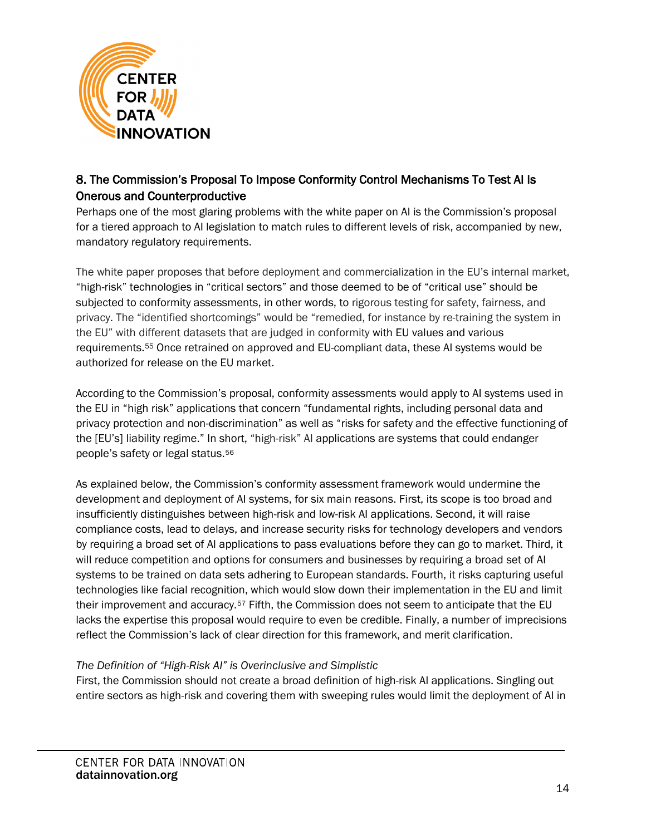

## 8. The Commission's Proposal To Impose Conformity Control Mechanisms To Test AI Is Onerous and Counterproductive

Perhaps one of the most glaring problems with the white paper on AI is the Commission's proposal for a tiered approach to AI legislation to match rules to different levels of risk, accompanied by new, mandatory regulatory requirements.

The white paper proposes that before deployment and commercialization in the EU's internal market, "high-risk" technologies in "critical sectors" and those deemed to be of "critical use" should be subjected to conformity assessments, in other words, to rigorous testing for safety, fairness, and privacy. The "identified shortcomings" would be "remedied, for instance by re-training the system in the EU" with different datasets that are judged in conformity with EU values and various requirements.[55](#page-27-9) Once retrained on approved and EU-compliant data, these AI systems would be authorized for release on the EU market.

According to the Commission's proposal, conformity assessments would apply to AI systems used in the EU in "high risk" applications that concern "fundamental rights, including personal data and privacy protection and non-discrimination" as well as "risks for safety and the effective functioning of the [EU's] liability regime." In short, "high-risk" AI applications are systems that could endanger people's safety or legal status.[56](#page-27-10)

As explained below, the Commission's conformity assessment framework would undermine the development and deployment of AI systems, for six main reasons. First, its scope is too broad and insufficiently distinguishes between high-risk and low-risk AI applications. Second, it will raise compliance costs, lead to delays, and increase security risks for technology developers and vendors by requiring a broad set of AI applications to pass evaluations before they can go to market. Third, it will reduce competition and options for consumers and businesses by requiring a broad set of AI systems to be trained on data sets adhering to European standards. Fourth, it risks capturing useful technologies like facial recognition, which would slow down their implementation in the EU and limit their improvement and accuracy.<sup>[57](#page-27-11)</sup> Fifth, the Commission does not seem to anticipate that the EU lacks the expertise this proposal would require to even be credible. Finally, a number of imprecisions reflect the Commission's lack of clear direction for this framework, and merit clarification.

#### *The Definition of "High-Risk AI" is Overinclusive and Simplistic*

First, the Commission should not create a broad definition of high-risk AI applications. Singling out entire sectors as high-risk and covering them with sweeping rules would limit the deployment of AI in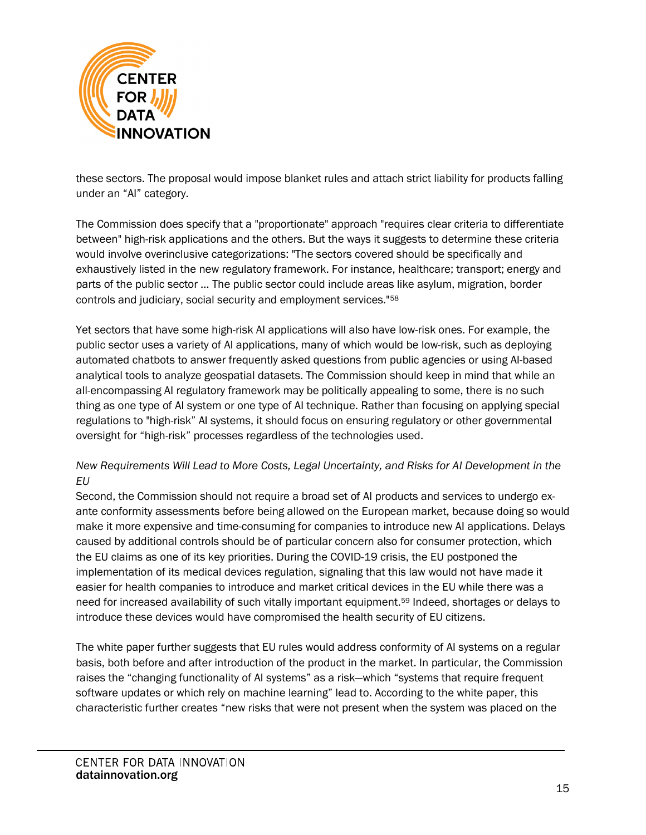

these sectors. The proposal would impose blanket rules and attach strict liability for products falling under an "AI" category.

The Commission does specify that a "proportionate" approach "requires clear criteria to differentiate between" high-risk applications and the others. But the ways it suggests to determine these criteria would involve overinclusive categorizations: "The sectors covered should be specifically and exhaustively listed in the new regulatory framework. For instance, healthcare; transport; energy and parts of the public sector … The public sector could include areas like asylum, migration, border controls and judiciary, social security and employment services."[58](#page-27-12)

Yet sectors that have some high-risk AI applications will also have low-risk ones. For example, the public sector uses a variety of AI applications, many of which would be low-risk, such as deploying automated chatbots to answer frequently asked questions from public agencies or using AI-based analytical tools to analyze geospatial datasets. The Commission should keep in mind that while an all-encompassing AI regulatory framework may be politically appealing to some, there is no such thing as one type of AI system or one type of AI technique. Rather than focusing on applying special regulations to "high-risk" AI systems, it should focus on ensuring regulatory or other governmental oversight for "high-risk" processes regardless of the technologies used.

#### *New Requirements Will Lead to More Costs, Legal Uncertainty, and Risks for AI Development in the EU*

Second, the Commission should not require a broad set of AI products and services to undergo exante conformity assessments before being allowed on the European market, because doing so would make it more expensive and time-consuming for companies to introduce new AI applications. Delays caused by additional controls should be of particular concern also for consumer protection, which the EU claims as one of its key priorities. During the COVID-19 crisis, the EU postponed the implementation of its medical devices regulation, signaling that this law would not have made it easier for health companies to introduce and market critical devices in the EU while there was a need for increased availability of such vitally important equipment[.59](#page-27-13) Indeed, shortages or delays to introduce these devices would have compromised the health security of EU citizens.

The white paper further suggests that EU rules would address conformity of AI systems on a regular basis, both before and after introduction of the product in the market. In particular, the Commission raises the "changing functionality of AI systems" as a risk—which "systems that require frequent software updates or which rely on machine learning" lead to. According to the white paper, this characteristic further creates "new risks that were not present when the system was placed on the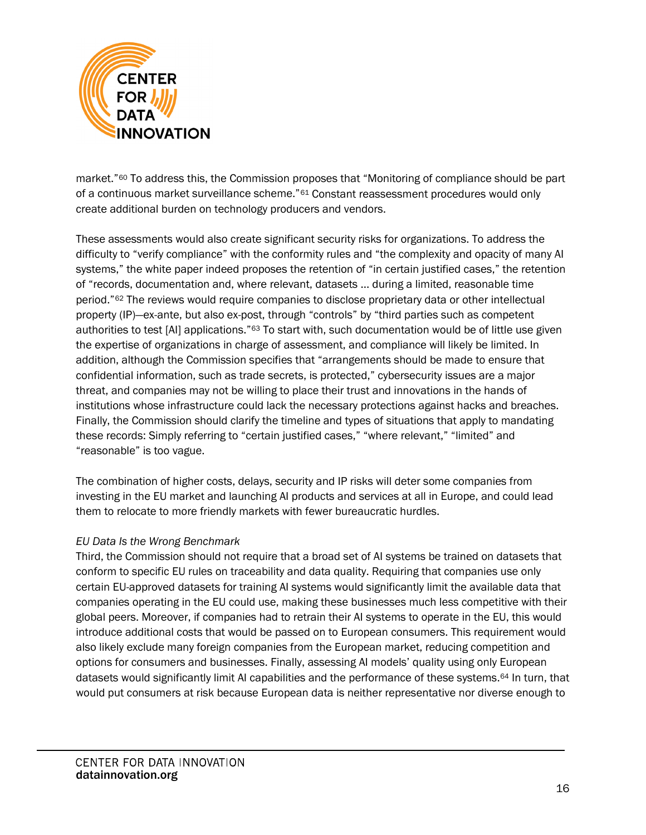

market."[60](#page-27-14) To address this, the Commission proposes that "Monitoring of compliance should be part of a continuous market surveillance scheme."[61](#page-27-15) Constant reassessment procedures would only create additional burden on technology producers and vendors.

These assessments would also create significant security risks for organizations. To address the difficulty to "verify compliance" with the conformity rules and "the complexity and opacity of many AI systems," the white paper indeed proposes the retention of "in certain justified cases," the retention of "records, documentation and, where relevant, datasets ... during a limited, reasonable time period."[62](#page-27-16) The reviews would require companies to disclose proprietary data or other intellectual property (IP)—ex-ante, but also ex-post, through "controls" by "third parties such as competent authorities to test [AI] applications.["63](#page-28-0) To start with, such documentation would be of little use given the expertise of organizations in charge of assessment, and compliance will likely be limited. In addition, although the Commission specifies that "arrangements should be made to ensure that confidential information, such as trade secrets, is protected," cybersecurity issues are a major threat, and companies may not be willing to place their trust and innovations in the hands of institutions whose infrastructure could lack the necessary protections against hacks and breaches. Finally, the Commission should clarify the timeline and types of situations that apply to mandating these records: Simply referring to "certain justified cases," "where relevant," "limited" and "reasonable" is too vague.

The combination of higher costs, delays, security and IP risks will deter some companies from investing in the EU market and launching AI products and services at all in Europe, and could lead them to relocate to more friendly markets with fewer bureaucratic hurdles.

#### *EU Data Is the Wrong Benchmark*

Third, the Commission should not require that a broad set of AI systems be trained on datasets that conform to specific EU rules on traceability and data quality. Requiring that companies use only certain EU-approved datasets for training AI systems would significantly limit the available data that companies operating in the EU could use, making these businesses much less competitive with their global peers. Moreover, if companies had to retrain their AI systems to operate in the EU, this would introduce additional costs that would be passed on to European consumers. This requirement would also likely exclude many foreign companies from the European market, reducing competition and options for consumers and businesses. Finally, assessing AI models' quality using only European datasets would significantly limit AI capabilities and the performance of these systems[.64](#page-28-1) In turn, that would put consumers at risk because European data is neither representative nor diverse enough to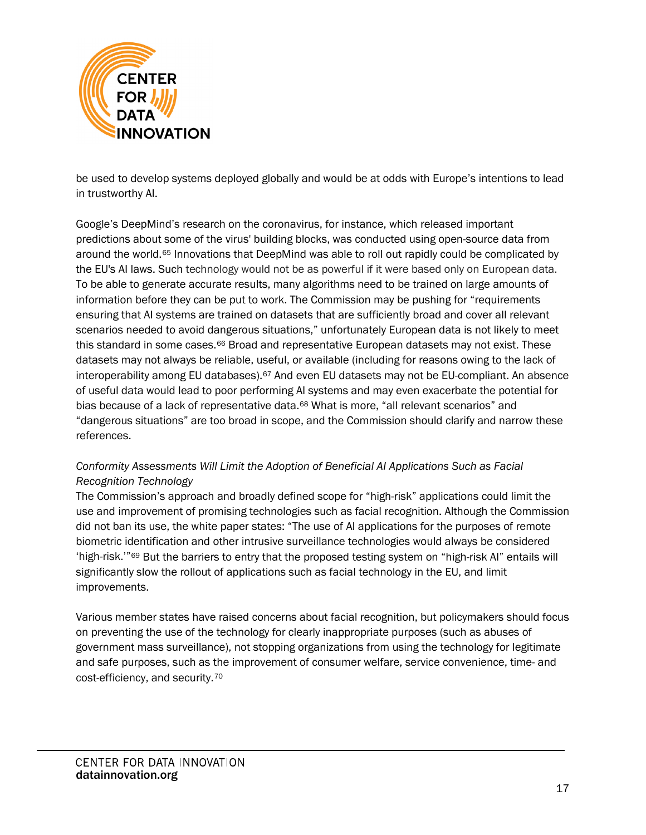

be used to develop systems deployed globally and would be at odds with Europe's intentions to lead in trustworthy AI.

Google's DeepMind's research on the coronavirus, for instance, which released important predictions about some of the virus' building blocks, was conducted using open-source data from around the world.[65](#page-28-2) Innovations that DeepMind was able to roll out rapidly could be complicated by the EU's AI laws. Such technology would not be as powerful if it were based only on European data. To be able to generate accurate results, many algorithms need to be trained on large amounts of information before they can be put to work. The Commission may be pushing for "requirements ensuring that AI systems are trained on datasets that are sufficiently broad and cover all relevant scenarios needed to avoid dangerous situations," unfortunately European data is not likely to meet this standard in some cases.<sup>[66](#page-28-3)</sup> Broad and representative European datasets may not exist. These datasets may not always be reliable, useful, or available (including for reasons owing to the lack of interoperability among EU databases).<sup>[67](#page-28-4)</sup> And even EU datasets may not be EU-compliant. An absence of useful data would lead to poor performing AI systems and may even exacerbate the potential for bias because of a lack of representative data.[68](#page-28-5) What is more, "all relevant scenarios" and "dangerous situations" are too broad in scope, and the Commission should clarify and narrow these references.

#### *Conformity Assessments Will Limit the Adoption of Beneficial AI Applications Such as Facial Recognition Technology*

The Commission's approach and broadly defined scope for "high-risk" applications could limit the use and improvement of promising technologies such as facial recognition. Although the Commission did not ban its use, the white paper states: "The use of AI applications for the purposes of remote biometric identification and other intrusive surveillance technologies would always be considered 'high-risk.'["69](#page-28-6) But the barriers to entry that the proposed testing system on "high-risk AI" entails will significantly slow the rollout of applications such as facial technology in the EU, and limit improvements.

Various member states have raised concerns about facial recognition, but policymakers should focus on preventing the use of the technology for clearly inappropriate purposes (such as abuses of government mass surveillance), not stopping organizations from using the technology for legitimate and safe purposes, such as the improvement of consumer welfare, service convenience, time- and cost-efficiency, and security.[70](#page-28-7)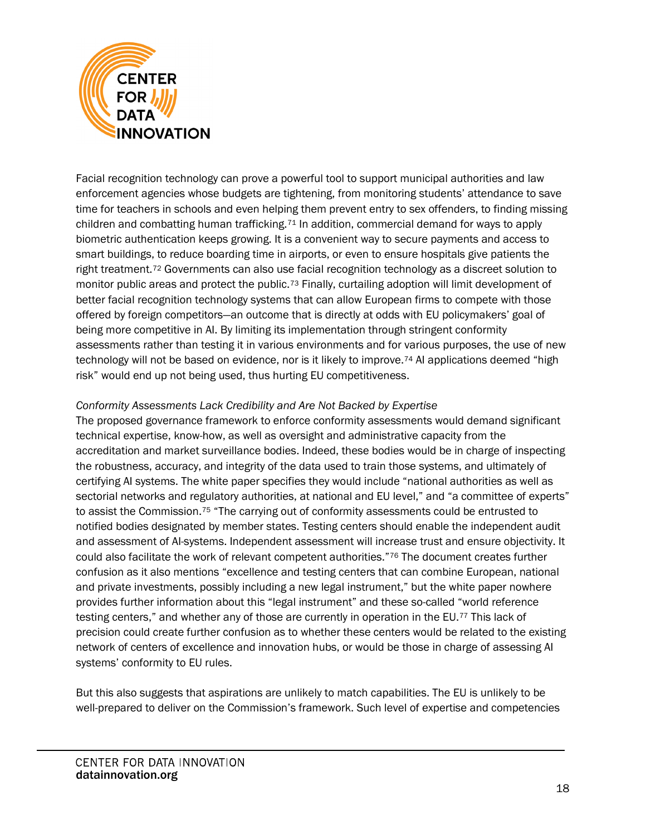

Facial recognition technology can prove a powerful tool to support municipal authorities and law enforcement agencies whose budgets are tightening, from monitoring students' attendance to save time for teachers in schools and even helping them prevent entry to sex offenders, to finding missing children and combatting human trafficking.[71](#page-28-8) In addition, commercial demand for ways to apply biometric authentication keeps growing. It is a convenient way to secure payments and access to smart buildings, to reduce boarding time in airports, or even to ensure hospitals give patients the right treatment.<sup>[72](#page-29-0)</sup> Governments can also use facial recognition technology as a discreet solution to monitor public areas and protect the public.<sup>[73](#page-29-1)</sup> Finally, curtailing adoption will limit development of better facial recognition technology systems that can allow European firms to compete with those offered by foreign competitors—an outcome that is directly at odds with EU policymakers' goal of being more competitive in AI. By limiting its implementation through stringent conformity assessments rather than testing it in various environments and for various purposes, the use of new technology will not be based on evidence, nor is it likely to improve.<sup>[74](#page-29-2)</sup> AI applications deemed "high risk" would end up not being used, thus hurting EU competitiveness.

#### *Conformity Assessments Lack Credibility and Are Not Backed by Expertise*

The proposed governance framework to enforce conformity assessments would demand significant technical expertise, know-how, as well as oversight and administrative capacity from the accreditation and market surveillance bodies. Indeed, these bodies would be in charge of inspecting the robustness, accuracy, and integrity of the data used to train those systems, and ultimately of certifying AI systems. The white paper specifies they would include "national authorities as well as sectorial networks and regulatory authorities, at national and EU level," and "a committee of experts" to assist the Commission.[75](#page-29-3) "The carrying out of conformity assessments could be entrusted to notified bodies designated by member states. Testing centers should enable the independent audit and assessment of AI-systems. Independent assessment will increase trust and ensure objectivity. It could also facilitate the work of relevant competent authorities."[76](#page-29-4) The document creates further confusion as it also mentions "excellence and testing centers that can combine European, national and private investments, possibly including a new legal instrument," but the white paper nowhere provides further information about this "legal instrument" and these so-called "world reference testing centers," and whether any of those are currently in operation in the EU.[77](#page-29-5) This lack of precision could create further confusion as to whether these centers would be related to the existing network of centers of excellence and innovation hubs, or would be those in charge of assessing AI systems' conformity to EU rules.

But this also suggests that aspirations are unlikely to match capabilities. The EU is unlikely to be well-prepared to deliver on the Commission's framework. Such level of expertise and competencies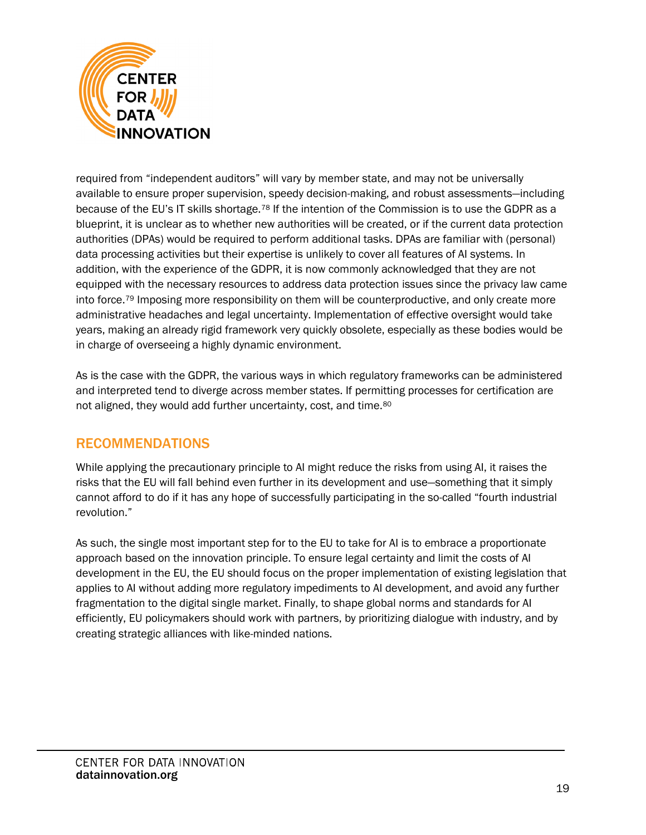

required from "independent auditors" will vary by member state, and may not be universally available to ensure proper supervision, speedy decision-making, and robust assessments—including because of the EU's IT skills shortage.[78](#page-29-6) If the intention of the Commission is to use the GDPR as a blueprint, it is unclear as to whether new authorities will be created, or if the current data protection authorities (DPAs) would be required to perform additional tasks. DPAs are familiar with (personal) data processing activities but their expertise is unlikely to cover all features of AI systems. In addition, with the experience of the GDPR, it is now commonly acknowledged that they are not equipped with the necessary resources to address data protection issues since the privacy law came into force.[79](#page-29-7) Imposing more responsibility on them will be counterproductive, and only create more administrative headaches and legal uncertainty. Implementation of effective oversight would take years, making an already rigid framework very quickly obsolete, especially as these bodies would be in charge of overseeing a highly dynamic environment.

As is the case with the GDPR, the various ways in which regulatory frameworks can be administered and interpreted tend to diverge across member states. If permitting processes for certification are not aligned, they would add further uncertainty, cost, and time.[80](#page-29-8)

# RECOMMENDATIONS

While applying the precautionary principle to AI might reduce the risks from using AI, it raises the risks that the EU will fall behind even further in its development and use—something that it simply cannot afford to do if it has any hope of successfully participating in the so-called "fourth industrial revolution."

As such, the single most important step for to the EU to take for AI is to embrace a proportionate approach based on the innovation principle. To ensure legal certainty and limit the costs of AI development in the EU, the EU should focus on the proper implementation of existing legislation that applies to AI without adding more regulatory impediments to AI development, and avoid any further fragmentation to the digital single market. Finally, to shape global norms and standards for AI efficiently, EU policymakers should work with partners, by prioritizing dialogue with industry, and by creating strategic alliances with like-minded nations.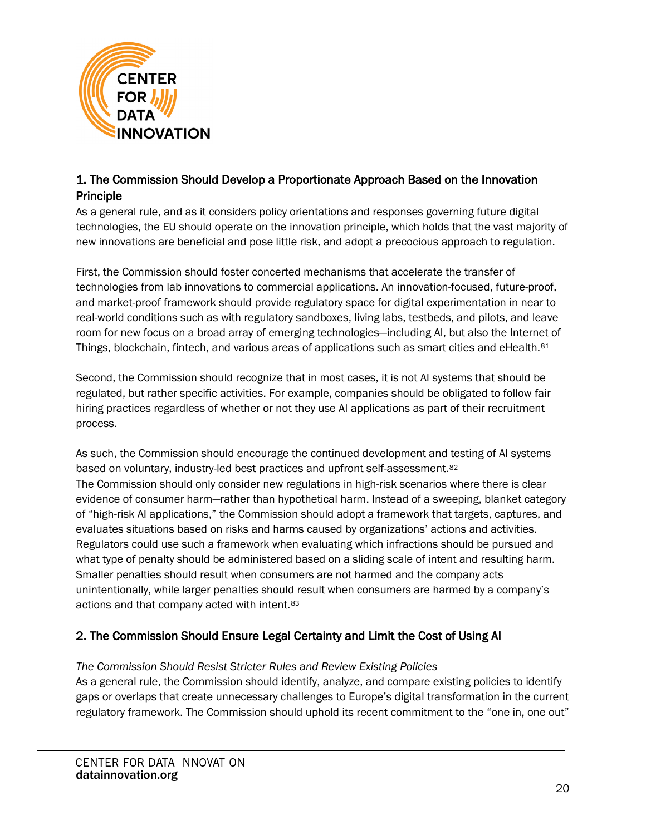

## 1. The Commission Should Develop a Proportionate Approach Based on the Innovation Principle

As a general rule, and as it considers policy orientations and responses governing future digital technologies, the EU should operate on the innovation principle, which holds that the vast majority of new innovations are beneficial and pose little risk, and adopt a precocious approach to regulation.

First, the Commission should foster concerted mechanisms that accelerate the transfer of technologies from lab innovations to commercial applications. An innovation-focused, future-proof, and market-proof framework should provide regulatory space for digital experimentation in near to real-world conditions such as with regulatory sandboxes, living labs, testbeds, and pilots, and leave room for new focus on a broad array of emerging technologies—including AI, but also the Internet of Things, blockchain, fintech, and various areas of applications such as smart cities and eHealth.<sup>[81](#page-29-9)</sup>

Second, the Commission should recognize that in most cases, it is not AI systems that should be regulated, but rather specific activities. For example, companies should be obligated to follow fair hiring practices regardless of whether or not they use AI applications as part of their recruitment process.

As such, the Commission should encourage the continued development and testing of AI systems based on voluntary, industry-led best practices and upfront self-assessment.[82](#page-30-0) The Commission should only consider new regulations in high-risk scenarios where there is clear evidence of consumer harm—rather than hypothetical harm. Instead of a sweeping, blanket category of "high-risk AI applications," the Commission should adopt a framework that targets, captures, and evaluates situations based on risks and harms caused by organizations' actions and activities. Regulators could use such a framework when evaluating which infractions should be pursued and what type of penalty should be administered based on a sliding scale of intent and resulting harm. Smaller penalties should result when consumers are not harmed and the company acts unintentionally, while larger penalties should result when consumers are harmed by a company's actions and that company acted with intent.[83](#page-30-1)

## 2. The Commission Should Ensure Legal Certainty and Limit the Cost of Using AI

#### *The Commission Should Resist Stricter Rules and Review Existing Policies*

As a general rule, the Commission should identify, analyze, and compare existing policies to identify gaps or overlaps that create unnecessary challenges to Europe's digital transformation in the current regulatory framework. The Commission should uphold its recent commitment to the "one in, one out"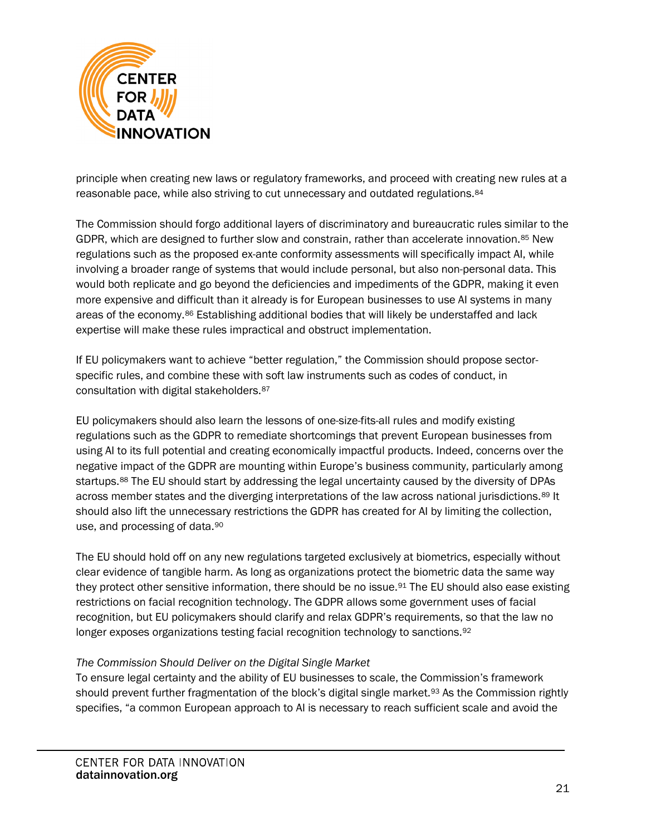

principle when creating new laws or regulatory frameworks, and proceed with creating new rules at a reasonable pace, while also striving to cut unnecessary and outdated regulations.<sup>[84](#page-30-2)</sup>

The Commission should forgo additional layers of discriminatory and bureaucratic rules similar to the GDPR, which are designed to further slow and constrain, rather than accelerate innovation.[85](#page-30-3) New regulations such as the proposed ex-ante conformity assessments will specifically impact AI, while involving a broader range of systems that would include personal, but also non-personal data. This would both replicate and go beyond the deficiencies and impediments of the GDPR, making it even more expensive and difficult than it already is for European businesses to use AI systems in many areas of the economy[.86](#page-30-4) Establishing additional bodies that will likely be understaffed and lack expertise will make these rules impractical and obstruct implementation.

If EU policymakers want to achieve "better regulation," the Commission should propose sectorspecific rules, and combine these with soft law instruments such as codes of conduct, in consultation with digital stakeholders.[87](#page-30-5)

EU policymakers should also learn the lessons of one-size-fits-all rules and modify existing regulations such as the GDPR to remediate shortcomings that prevent European businesses from using AI to its full potential and creating economically impactful products. Indeed, concerns over the negative impact of the GDPR are mounting within Europe's business community, particularly among startups.<sup>[88](#page-30-6)</sup> The EU should start by addressing the legal uncertainty caused by the diversity of DPAs across member states and the diverging interpretations of the law across national jurisdictions.<sup>[89](#page-31-0)</sup> It should also lift the unnecessary restrictions the GDPR has created for AI by limiting the collection, use, and processing of data.[90](#page-31-1)

The EU should hold off on any new regulations targeted exclusively at biometrics, especially without clear evidence of tangible harm. As long as organizations protect the biometric data the same way they protect other sensitive information, there should be no issue[.91](#page-31-2) The EU should also ease existing restrictions on facial recognition technology. The GDPR allows some government uses of facial recognition, but EU policymakers should clarify and relax GDPR's requirements, so that the law no longer exposes organizations testing facial recognition technology to sanctions.<sup>[92](#page-31-3)</sup>

#### *The Commission Should Deliver on the Digital Single Market*

To ensure legal certainty and the ability of EU businesses to scale, the Commission's framework should prevent further fragmentation of the block's digital single market.<sup>[93](#page-31-4)</sup> As the Commission rightly specifies, "a common European approach to AI is necessary to reach sufficient scale and avoid the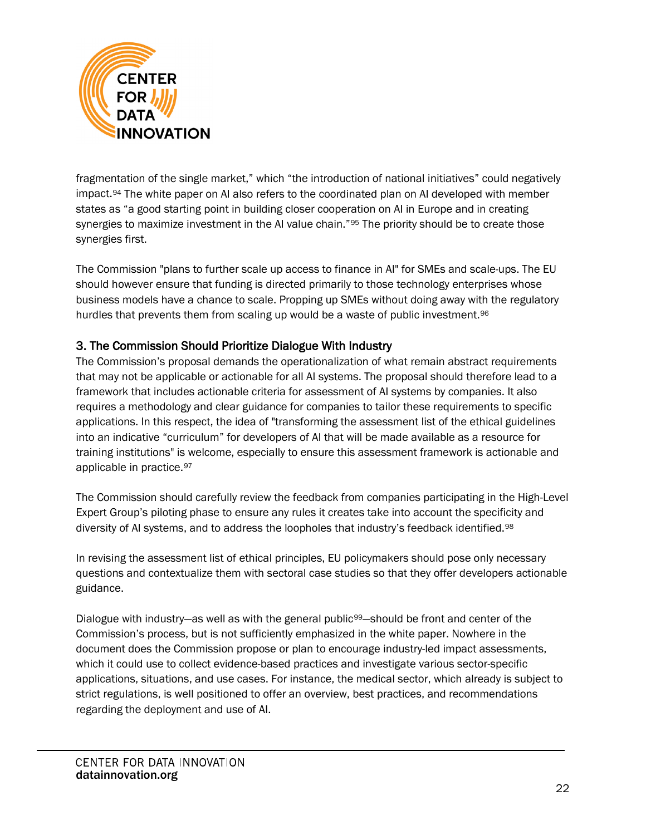

fragmentation of the single market," which "the introduction of national initiatives" could negatively impact.[94](#page-31-5) The white paper on AI also refers to the coordinated plan on AI developed with member states as "a good starting point in building closer cooperation on AI in Europe and in creating synergies to maximize investment in the AI value chain."<sup>[95](#page-31-6)</sup> The priority should be to create those synergies first.

The Commission "plans to further scale up access to finance in AI" for SMEs and scale-ups. The EU should however ensure that funding is directed primarily to those technology enterprises whose business models have a chance to scale. Propping up SMEs without doing away with the regulatory hurdles that prevents them from scaling up would be a waste of public investment.<sup>96</sup>

#### 3. The Commission Should Prioritize Dialogue With Industry

The Commission's proposal demands the operationalization of what remain abstract requirements that may not be applicable or actionable for all AI systems. The proposal should therefore lead to a framework that includes actionable criteria for assessment of AI systems by companies. It also requires a methodology and clear guidance for companies to tailor these requirements to specific applications. In this respect, the idea of "transforming the assessment list of the ethical guidelines into an indicative "curriculum" for developers of AI that will be made available as a resource for training institutions" is welcome, especially to ensure this assessment framework is actionable and applicable in practice.[97](#page-31-8)

The Commission should carefully review the feedback from companies participating in the High-Level Expert Group's piloting phase to ensure any rules it creates take into account the specificity and diversity of AI systems, and to address the loopholes that industry's feedback identified.<sup>[98](#page-31-9)</sup>

In revising the assessment list of ethical principles, EU policymakers should pose only necessary questions and contextualize them with sectoral case studies so that they offer developers actionable guidance.

Dialogue with industry—as well as with the general public<sup>99</sup>—should be front and center of the Commission's process, but is not sufficiently emphasized in the white paper. Nowhere in the document does the Commission propose or plan to encourage industry-led impact assessments, which it could use to collect evidence-based practices and investigate various sector-specific applications, situations, and use cases. For instance, the medical sector, which already is subject to strict regulations, is well positioned to offer an overview, best practices, and recommendations regarding the deployment and use of AI.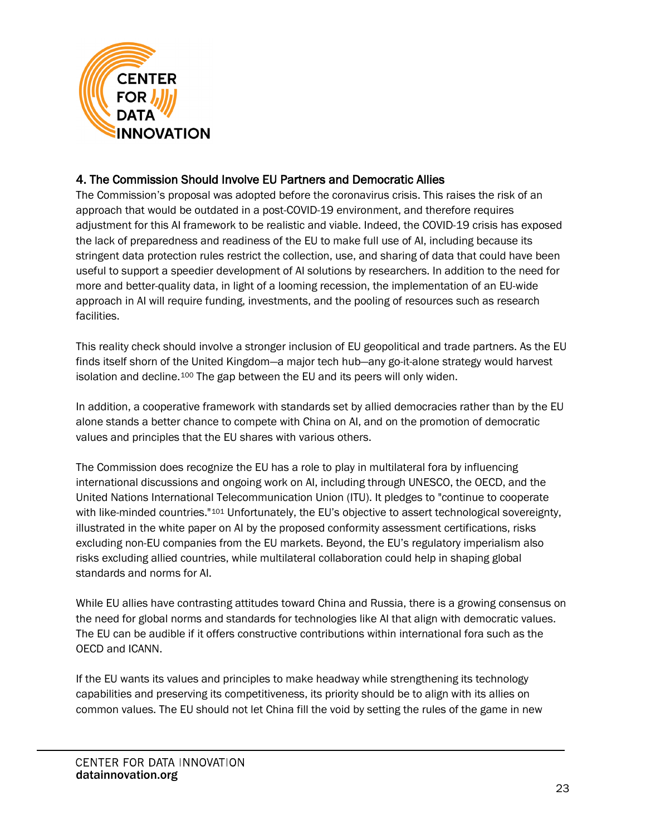

## 4. The Commission Should Involve EU Partners and Democratic Allies

The Commission's proposal was adopted before the coronavirus crisis. This raises the risk of an approach that would be outdated in a post-COVID-19 environment, and therefore requires adjustment for this AI framework to be realistic and viable. Indeed, the COVID-19 crisis has exposed the lack of preparedness and readiness of the EU to make full use of AI, including because its stringent data protection rules restrict the collection, use, and sharing of data that could have been useful to support a speedier development of AI solutions by researchers. In addition to the need for more and better-quality data, in light of a looming recession, the implementation of an EU-wide approach in AI will require funding, investments, and the pooling of resources such as research facilities.

This reality check should involve a stronger inclusion of EU geopolitical and trade partners. As the EU finds itself shorn of the United Kingdom—a major tech hub—any go-it-alone strategy would harvest isolation and decline.[100](#page-32-0) The gap between the EU and its peers will only widen.

In addition, a cooperative framework with standards set by allied democracies rather than by the EU alone stands a better chance to compete with China on AI, and on the promotion of democratic values and principles that the EU shares with various others.

The Commission does recognize the EU has a role to play in multilateral fora by influencing international discussions and ongoing work on AI, including through UNESCO, the OECD, and the United Nations International Telecommunication Union (ITU). It pledges to "continue to cooperate with like-minded countries."<sup>[101](#page-32-1)</sup> Unfortunately, the EU's objective to assert technological sovereignty, illustrated in the white paper on AI by the proposed conformity assessment certifications, risks excluding non-EU companies from the EU markets. Beyond, the EU's regulatory imperialism also risks excluding allied countries, while multilateral collaboration could help in shaping global standards and norms for AI.

While EU allies have contrasting attitudes toward China and Russia, there is a growing consensus on the need for global norms and standards for technologies like AI that align with democratic values. The EU can be audible if it offers constructive contributions within international fora such as the OECD and ICANN.

If the EU wants its values and principles to make headway while strengthening its technology capabilities and preserving its competitiveness, its priority should be to align with its allies on common values. The EU should not let China fill the void by setting the rules of the game in new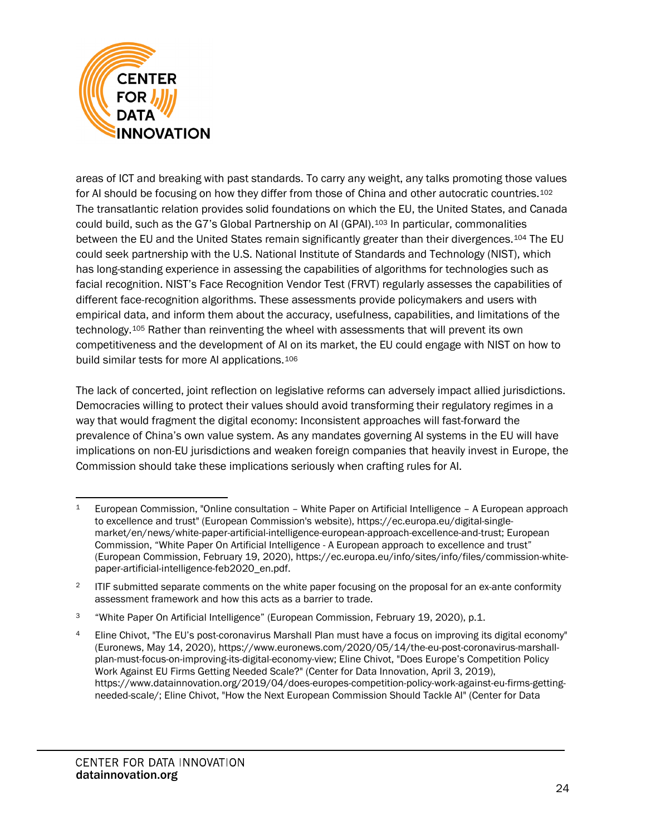

areas of ICT and breaking with past standards. To carry any weight, any talks promoting those values for AI should be focusing on how they differ from those of China and other autocratic countries.<sup>[102](#page-32-2)</sup> The transatlantic relation provides solid foundations on which the EU, the United States, and Canada could build, such as the G7's Global Partnership on AI (GPAI).[103](#page-32-3) In particular, commonalities between the EU and the United States remain significantly greater than their divergences.[104](#page-32-4) The EU could seek partnership with the U.S. National Institute of Standards and Technology (NIST), which has long-standing experience in assessing the capabilities of algorithms for technologies such as facial recognition. NIST's Face Recognition Vendor Test (FRVT) regularly assesses the capabilities of different face-recognition algorithms. These assessments provide policymakers and users with empirical data, and inform them about the accuracy, usefulness, capabilities, and limitations of the technology.[105](#page-32-5) Rather than reinventing the wheel with assessments that will prevent its own competitiveness and the development of AI on its market, the EU could engage with NIST on how to build similar tests for more AI applications.<sup>[106](#page-32-6)</sup>

The lack of concerted, joint reflection on legislative reforms can adversely impact allied jurisdictions. Democracies willing to protect their values should avoid transforming their regulatory regimes in a way that would fragment the digital economy: Inconsistent approaches will fast-forward the prevalence of China's own value system. As any mandates governing AI systems in the EU will have implications on non-EU jurisdictions and weaken foreign companies that heavily invest in Europe, the Commission should take these implications seriously when crafting rules for AI.

<span id="page-23-0"></span><sup>1</sup> European Commission, "Online consultation – White Paper on Artificial Intelligence – A European approach to excellence and trust" (European Commission's website), [https://ec.europa.eu/digital-single](https://ec.europa.eu/digital-single-market/en/news/white-paper-artificial-intelligence-european-approach-excellence-and-trust)[market/en/news/white-paper-artificial-intelligence-european-approach-excellence-and-trust;](https://ec.europa.eu/digital-single-market/en/news/white-paper-artificial-intelligence-european-approach-excellence-and-trust) European Commission, "White Paper On Artificial Intelligence - A European approach to excellence and trust" (European Commission, February 19, 2020), [https://ec.europa.eu/info/sites/info/files/commission-white](https://ec.europa.eu/info/sites/info/files/commission-white-paper-artificial-intelligence-feb2020_en.pdf)[paper-artificial-intelligence-feb2020\\_en.pdf.](https://ec.europa.eu/info/sites/info/files/commission-white-paper-artificial-intelligence-feb2020_en.pdf)

<span id="page-23-1"></span><sup>&</sup>lt;sup>2</sup> ITIF submitted separate comments on the white paper focusing on the proposal for an ex-ante conformity assessment framework and how this acts as a barrier to trade.

<span id="page-23-2"></span><sup>3</sup> "White Paper On Artificial Intelligence" (European Commission, February 19, 2020), p.1.

<span id="page-23-3"></span><sup>4</sup> Eline Chivot, "The EU's post-coronavirus Marshall Plan must have a focus on improving its digital economy" (Euronews, May 14, 2020), https://www.euronews.com/2020/05/14/the-eu-post-coronavirus-marshallplan-must-focus-on-improving-its-digital-economy-view; Eline Chivot, "Does Europe's Competition Policy Work Against EU Firms Getting Needed Scale?" (Center for Data Innovation, April 3, 2019), https://www.datainnovation.org/2019/04/does-europes-competition-policy-work-against-eu-firms-gettingneeded-scale/; Eline Chivot, "How the Next European Commission Should Tackle AI" (Center for Data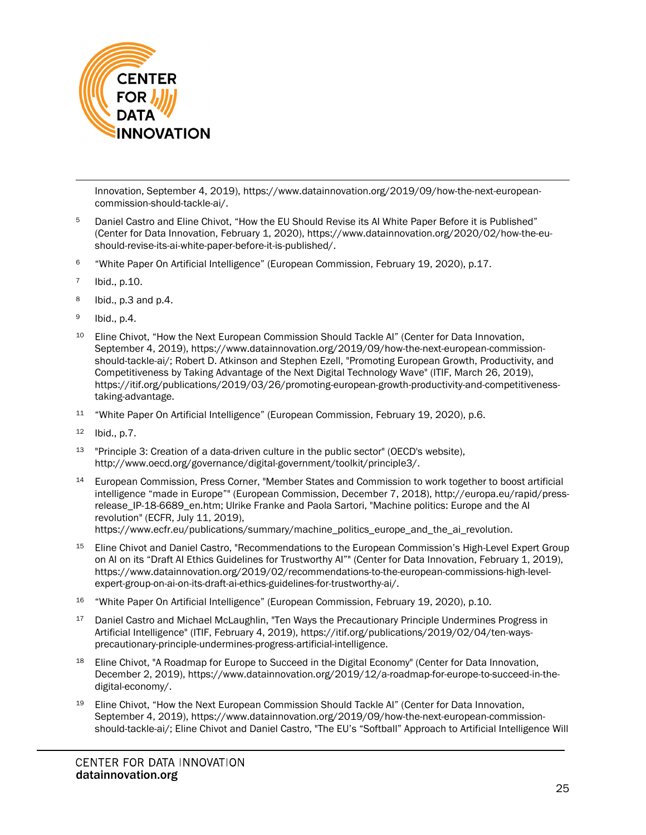

Innovation, September 4, 2019), https://www.datainnovation.org/2019/09/how-the-next-europeancommission-should-tackle-ai/.

- <span id="page-24-0"></span><sup>5</sup> Daniel Castro and Eline Chivot, "How the EU Should Revise its AI White Paper Before it is Published" (Center for Data Innovation, February 1, 2020), [https://www.datainnovation.org/2020/02/how-the-eu](https://www.datainnovation.org/2020/02/how-the-eu-should-revise-its-ai-white-paper-before-it-is-published/)[should-revise-its-ai-white-paper-before-it-is-published/.](https://www.datainnovation.org/2020/02/how-the-eu-should-revise-its-ai-white-paper-before-it-is-published/)
- <span id="page-24-1"></span><sup>6</sup> "White Paper On Artificial Intelligence" (European Commission, February 19, 2020), p.17.
- <span id="page-24-2"></span><sup>7</sup> Ibid., p.10.
- <span id="page-24-3"></span> $8$  Ibid., p.3 and p.4.
- <span id="page-24-4"></span><sup>9</sup> Ibid., p.4.
- <span id="page-24-5"></span><sup>10</sup> Eline Chivot, "How the Next European Commission Should Tackle AI" (Center for Data Innovation, September 4, 2019), [https://www.datainnovation.org/2019/09/how-the-next-european-commission](https://www.datainnovation.org/2019/09/how-the-next-european-commission-should-tackle-ai/)[should-tackle-ai/;](https://www.datainnovation.org/2019/09/how-the-next-european-commission-should-tackle-ai/) Robert D. Atkinson and Stephen Ezell, "Promoting European Growth, Productivity, and Competitiveness by Taking Advantage of the Next Digital Technology Wave" (ITIF, March 26, 2019), [https://itif.org/publications/2019/03/26/promoting-european-growth-productivity-and-competitiveness](https://itif.org/publications/2019/03/26/promoting-european-growth-productivity-and-competitiveness-taking-advantage)[taking-advantage.](https://itif.org/publications/2019/03/26/promoting-european-growth-productivity-and-competitiveness-taking-advantage)
- <span id="page-24-6"></span><sup>11</sup> "White Paper On Artificial Intelligence" (European Commission, February 19, 2020), p.6.
- <span id="page-24-7"></span><sup>12</sup> Ibid., p.7.
- <span id="page-24-8"></span><sup>13</sup> "Principle 3: Creation of a data-driven culture in the public sector" (OECD's website), [http://www.oecd.org/governance/digital-government/toolkit/principle3/.](http://www.oecd.org/governance/digital-government/toolkit/principle3/)
- <span id="page-24-9"></span><sup>14</sup> European Commission, Press Corner, "Member States and Commission to work together to boost artificial intelligence "made in Europe"" (European Commission, December 7, 2018), [http://europa.eu/rapid/press](http://europa.eu/rapid/press-release_IP-18-6689_en.htm)[release\\_IP-18-6689\\_en.htm;](http://europa.eu/rapid/press-release_IP-18-6689_en.htm) Ulrike Franke and Paola Sartori, "Machine politics: Europe and the AI revolution" (ECFR, July 11, 2019), [https://www.ecfr.eu/publications/summary/machine\\_politics\\_europe\\_and\\_the\\_ai\\_revolution.](https://www.ecfr.eu/publications/summary/machine_politics_europe_and_the_ai_revolution)
- <span id="page-24-10"></span><sup>15</sup> Eline Chivot and Daniel Castro, "Recommendations to the European Commission's High-Level Expert Group on AI on its "Draft AI Ethics Guidelines for Trustworthy AI"" (Center for Data Innovation, February 1, 2019), [https://www.datainnovation.org/2019/02/recommendations-to-the-european-commissions-high-level](https://www.datainnovation.org/2019/02/recommendations-to-the-european-commissions-high-level-expert-group-on-ai-on-its-draft-ai-ethics-guidelines-for-trustworthy-ai/)[expert-group-on-ai-on-its-draft-ai-ethics-guidelines-for-trustworthy-ai/.](https://www.datainnovation.org/2019/02/recommendations-to-the-european-commissions-high-level-expert-group-on-ai-on-its-draft-ai-ethics-guidelines-for-trustworthy-ai/)
- <span id="page-24-11"></span><sup>16</sup> "White Paper On Artificial Intelligence" (European Commission, February 19, 2020), p.10.
- <span id="page-24-12"></span><sup>17</sup> Daniel Castro and Michael McLaughlin, "Ten Ways the Precautionary Principle Undermines Progress in Artificial Intelligence" (ITIF, February 4, 2019), [https://itif.org/publications/2019/02/04/ten-ways](https://itif.org/publications/2019/02/04/ten-ways-precautionary-principle-undermines-progress-artificial-intelligence)[precautionary-principle-undermines-progress-artificial-intelligence.](https://itif.org/publications/2019/02/04/ten-ways-precautionary-principle-undermines-progress-artificial-intelligence)
- <span id="page-24-13"></span>18 Eline Chivot, "A Roadmap for Europe to Succeed in the Digital Economy" (Center for Data Innovation, December 2, 2019), [https://www.datainnovation.org/2019/12/a-roadmap-for-europe-to-succeed-in-the](https://www.datainnovation.org/2019/12/a-roadmap-for-europe-to-succeed-in-the-digital-economy/)[digital-economy/.](https://www.datainnovation.org/2019/12/a-roadmap-for-europe-to-succeed-in-the-digital-economy/)
- <span id="page-24-14"></span><sup>19</sup> Eline Chivot, "How the Next European Commission Should Tackle Al" (Center for Data Innovation, September 4, 2019), [https://www.datainnovation.org/2019/09/how-the-next-european-commission](https://www.datainnovation.org/2019/09/how-the-next-european-commission-should-tackle-ai/)[should-tackle-ai/;](https://www.datainnovation.org/2019/09/how-the-next-european-commission-should-tackle-ai/) Eline Chivot and Daniel Castro, "The EU's "Softball" Approach to Artificial Intelligence Will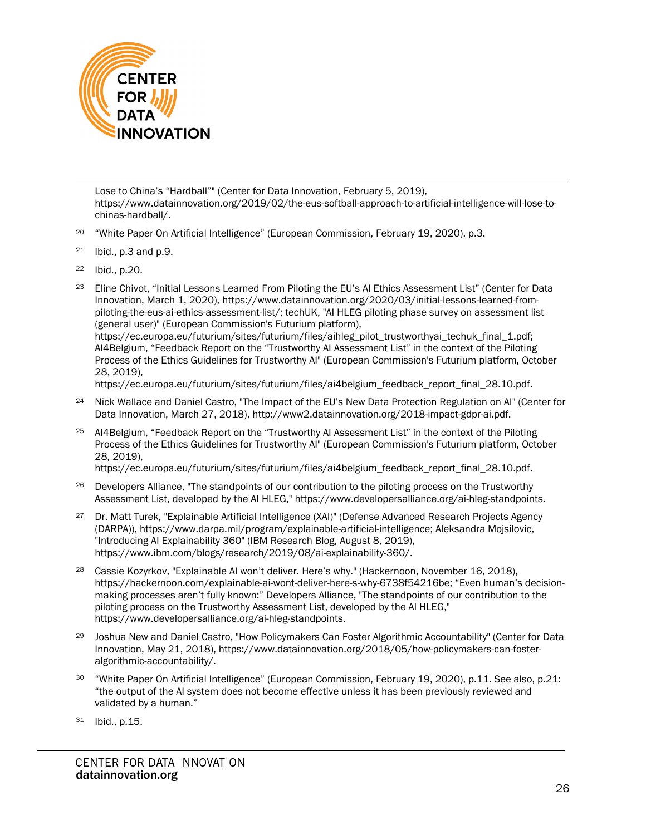

Lose to China's "Hardball"" (Center for Data Innovation, February 5, 2019), [https://www.datainnovation.org/2019/02/the-eus-softball-approach-to-artificial-intelligence-will-lose-to](https://www.datainnovation.org/2019/02/the-eus-softball-approach-to-artificial-intelligence-will-lose-to-chinas-hardball/)[chinas-hardball/.](https://www.datainnovation.org/2019/02/the-eus-softball-approach-to-artificial-intelligence-will-lose-to-chinas-hardball/)

- <span id="page-25-0"></span><sup>20</sup> "White Paper On Artificial Intelligence" (European Commission, February 19, 2020), p.3.
- <span id="page-25-1"></span> $21$  Ibid., p.3 and p.9.
- <span id="page-25-2"></span><sup>22</sup> Ibid., p.20.
- <span id="page-25-3"></span><sup>23</sup> Eline Chivot, "Initial Lessons Learned From Piloting the EU's AI Ethics Assessment List" (Center for Data Innovation, March 1, 2020), [https://www.datainnovation.org/2020/03/initial-lessons-learned-from](https://www.datainnovation.org/2020/03/initial-lessons-learned-from-piloting-the-eus-ai-ethics-assessment-list/)[piloting-the-eus-ai-ethics-assessment-list/;](https://www.datainnovation.org/2020/03/initial-lessons-learned-from-piloting-the-eus-ai-ethics-assessment-list/) techUK, "AI HLEG piloting phase survey on assessment list (general user)" (European Commission's Futurium platform),

[https://ec.europa.eu/futurium/sites/futurium/files/aihleg\\_pilot\\_trustworthyai\\_techuk\\_final\\_1.pdf;](https://ec.europa.eu/futurium/sites/futurium/files/aihleg_pilot_trustworthyai_techuk_final_1.pdf) AI4Belgium, "Feedback Report on the "Trustworthy AI Assessment List" in the context of the Piloting Process of the Ethics Guidelines for Trustworthy AI" (European Commission's Futurium platform, October 28, 2019),

[https://ec.europa.eu/futurium/sites/futurium/files/ai4belgium\\_feedback\\_report\\_final\\_28.10.pdf.](https://ec.europa.eu/futurium/sites/futurium/files/ai4belgium_feedback_report_final_28.10.pdf)

- <span id="page-25-4"></span><sup>24</sup> Nick Wallace and Daniel Castro, "The Impact of the EU's New Data Protection Regulation on AI" (Center for Data Innovation, March 27, 2018), [http://www2.datainnovation.org/2018-impact-gdpr-ai.pdf.](http://www2.datainnovation.org/2018-impact-gdpr-ai.pdf)
- <span id="page-25-5"></span><sup>25</sup> AI4Belgium, "Feedback Report on the "Trustworthy AI Assessment List" in the context of the Piloting Process of the Ethics Guidelines for Trustworthy AI" (European Commission's Futurium platform, October 28, 2019),

[https://ec.europa.eu/futurium/sites/futurium/files/ai4belgium\\_feedback\\_report\\_final\\_28.10.pdf.](https://ec.europa.eu/futurium/sites/futurium/files/ai4belgium_feedback_report_final_28.10.pdf)

- <span id="page-25-6"></span><sup>26</sup> Developers Alliance, "The standpoints of our contribution to the piloting process on the Trustworthy Assessment List, developed by the AI HLEG,[" https://www.developersalliance.org/ai-hleg-standpoints.](https://www.developersalliance.org/ai-hleg-standpoints)
- <span id="page-25-7"></span><sup>27</sup> Dr. Matt Turek, "Explainable Artificial Intelligence (XAI)" (Defense Advanced Research Projects Agency (DARPA))[, https://www.darpa.mil/program/explainable-artificial-intelligence;](https://www.darpa.mil/program/explainable-artificial-intelligence) Aleksandra Mojsilovic, "Introducing AI Explainability 360" (IBM Research Blog, August 8, 2019), [https://www.ibm.com/blogs/research/2019/08/ai-explainability-360/.](https://www.ibm.com/blogs/research/2019/08/ai-explainability-360/)
- <span id="page-25-8"></span><sup>28</sup> Cassie Kozyrkov, "Explainable AI won't deliver. Here's why." (Hackernoon, November 16, 2018), [https://hackernoon.com/explainable-ai-wont-deliver-here-s-why-6738f54216be;](https://hackernoon.com/explainable-ai-wont-deliver-here-s-why-6738f54216be) "Even human's decisionmaking processes aren't fully known:" Developers Alliance, "The standpoints of our contribution to the piloting process on the Trustworthy Assessment List, developed by the AI HLEG," [https://www.developersalliance.org/ai-hleg-standpoints.](https://www.developersalliance.org/ai-hleg-standpoints)
- <span id="page-25-9"></span><sup>29</sup> Joshua New and Daniel Castro, "How Policymakers Can Foster Algorithmic Accountability" (Center for Data Innovation, May 21, 2018), [https://www.datainnovation.org/2018/05/how-policymakers-can-foster](https://www.datainnovation.org/2018/05/how-policymakers-can-foster-algorithmic-accountability/)[algorithmic-accountability/.](https://www.datainnovation.org/2018/05/how-policymakers-can-foster-algorithmic-accountability/)
- <span id="page-25-10"></span><sup>30</sup> "White Paper On Artificial Intelligence" (European Commission, February 19, 2020), p.11. See also, p.21: "the output of the AI system does not become effective unless it has been previously reviewed and validated by a human."
- <span id="page-25-11"></span><sup>31</sup> Ibid., p.15.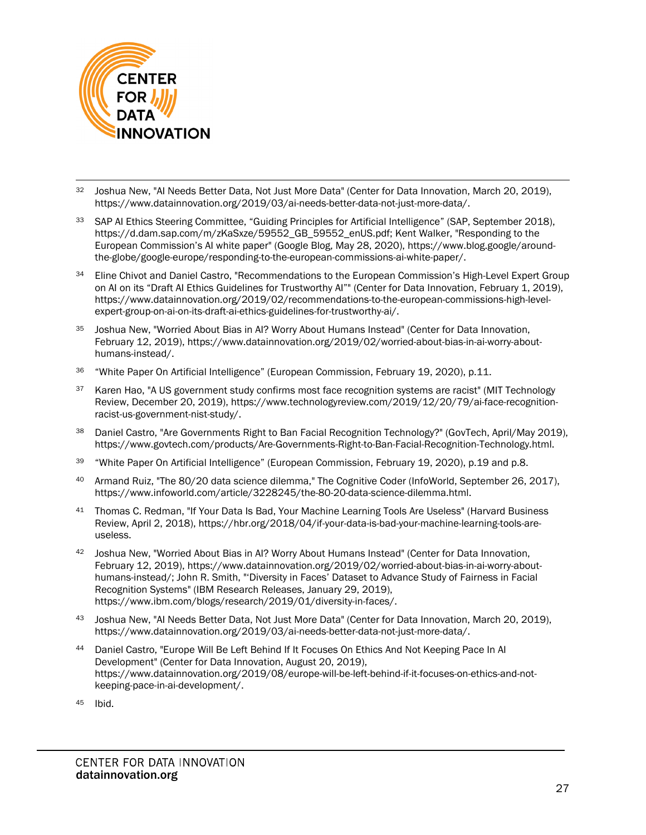

- <span id="page-26-0"></span><sup>32</sup> Joshua New, "AI Needs Better Data, Not Just More Data" (Center for Data Innovation, March 20, 2019), [https://www.datainnovation.org/2019/03/ai-needs-better-data-not-just-more-data/.](https://www.datainnovation.org/2019/03/ai-needs-better-data-not-just-more-data/)
- <span id="page-26-1"></span><sup>33</sup> SAP AI Ethics Steering Committee, "Guiding Principles for Artificial Intelligence" (SAP, September 2018), [https://d.dam.sap.com/m/zKaSxze/59552\\_GB\\_59552\\_enUS.pdf;](https://d.dam.sap.com/m/zKaSxze/59552_GB_59552_enUS.pdf) Kent Walker, "Responding to the European Commission's AI white paper" (Google Blog, May 28, 2020), [https://www.blog.google/around](https://www.blog.google/around-the-globe/google-europe/responding-to-the-european-commissions-ai-white-paper/)[the-globe/google-europe/responding-to-the-european-commissions-ai-white-paper/.](https://www.blog.google/around-the-globe/google-europe/responding-to-the-european-commissions-ai-white-paper/)
- <span id="page-26-2"></span><sup>34</sup> Eline Chivot and Daniel Castro, "Recommendations to the European Commission's High-Level Expert Group on AI on its "Draft AI Ethics Guidelines for Trustworthy AI"" (Center for Data Innovation, February 1, 2019), [https://www.datainnovation.org/2019/02/recommendations-to-the-european-commissions-high-level](https://www.datainnovation.org/2019/02/recommendations-to-the-european-commissions-high-level-expert-group-on-ai-on-its-draft-ai-ethics-guidelines-for-trustworthy-ai/)[expert-group-on-ai-on-its-draft-ai-ethics-guidelines-for-trustworthy-ai/.](https://www.datainnovation.org/2019/02/recommendations-to-the-european-commissions-high-level-expert-group-on-ai-on-its-draft-ai-ethics-guidelines-for-trustworthy-ai/)
- <span id="page-26-3"></span><sup>35</sup> Joshua New, "Worried About Bias in AI? Worry About Humans Instead" (Center for Data Innovation, February 12, 2019)[, https://www.datainnovation.org/2019/02/worried-about-bias-in-ai-worry-about](https://www.datainnovation.org/2019/02/worried-about-bias-in-ai-worry-about-humans-instead/)[humans-instead/.](https://www.datainnovation.org/2019/02/worried-about-bias-in-ai-worry-about-humans-instead/)
- <span id="page-26-4"></span><sup>36</sup> "White Paper On Artificial Intelligence" (European Commission, February 19, 2020), p.11.
- <span id="page-26-5"></span><sup>37</sup> Karen Hao, "A US government study confirms most face recognition systems are racist" (MIT Technology Review, December 20, 2019), [https://www.technologyreview.com/2019/12/20/79/ai-face-recognition](https://www.technologyreview.com/2019/12/20/79/ai-face-recognition-racist-us-government-nist-study/)[racist-us-government-nist-study/.](https://www.technologyreview.com/2019/12/20/79/ai-face-recognition-racist-us-government-nist-study/)
- <span id="page-26-6"></span>38 Daniel Castro, "Are Governments Right to Ban Facial Recognition Technology?" (GovTech, April/May 2019), [https://www.govtech.com/products/Are-Governments-Right-to-Ban-Facial-Recognition-Technology.html.](https://www.govtech.com/products/Are-Governments-Right-to-Ban-Facial-Recognition-Technology.html)
- <span id="page-26-7"></span><sup>39</sup> "White Paper On Artificial Intelligence" (European Commission, February 19, 2020), p.19 and p.8.
- <span id="page-26-8"></span><sup>40</sup> Armand Ruiz, "The 80/20 data science dilemma," The Cognitive Coder (InfoWorld, September 26, 2017), [https://www.infoworld.com/article/3228245/the-80-20-data-science-dilemma.html.](https://www.infoworld.com/article/3228245/the-80-20-data-science-dilemma.html)
- <span id="page-26-9"></span><sup>41</sup> Thomas C. Redman, "If Your Data Is Bad, Your Machine Learning Tools Are Useless" (Harvard Business Review, April 2, 2018), [https://hbr.org/2018/04/if-your-data-is-bad-your-machine-learning-tools-are](https://hbr.org/2018/04/if-your-data-is-bad-your-machine-learning-tools-are-useless)[useless.](https://hbr.org/2018/04/if-your-data-is-bad-your-machine-learning-tools-are-useless)
- <span id="page-26-10"></span><sup>42</sup> Joshua New, "Worried About Bias in AI? Worry About Humans Instead" (Center for Data Innovation, February 12, 2019)[, https://www.datainnovation.org/2019/02/worried-about-bias-in-ai-worry-about](https://www.datainnovation.org/2019/02/worried-about-bias-in-ai-worry-about-humans-instead/)[humans-instead/;](https://www.datainnovation.org/2019/02/worried-about-bias-in-ai-worry-about-humans-instead/) John R. Smith, "'Diversity in Faces' Dataset to Advance Study of Fairness in Facial Recognition Systems" (IBM Research Releases, January 29, 2019), [https://www.ibm.com/blogs/research/2019/01/diversity-in-faces/.](https://www.ibm.com/blogs/research/2019/01/diversity-in-faces/)
- <span id="page-26-11"></span><sup>43</sup> Joshua New, "AI Needs Better Data, Not Just More Data" (Center for Data Innovation, March 20, 2019), [https://www.datainnovation.org/2019/03/ai-needs-better-data-not-just-more-data/.](https://www.datainnovation.org/2019/03/ai-needs-better-data-not-just-more-data/)
- <span id="page-26-12"></span><sup>44</sup> Daniel Castro, "Europe Will Be Left Behind If It Focuses On Ethics And Not Keeping Pace In AI Development" (Center for Data Innovation, August 20, 2019), [https://www.datainnovation.org/2019/08/europe-will-be-left-behind-if-it-focuses-on-ethics-and-not](https://www.datainnovation.org/2019/08/europe-will-be-left-behind-if-it-focuses-on-ethics-and-not-keeping-pace-in-ai-development/)[keeping-pace-in-ai-development/.](https://www.datainnovation.org/2019/08/europe-will-be-left-behind-if-it-focuses-on-ethics-and-not-keeping-pace-in-ai-development/)
- <span id="page-26-13"></span><sup>45</sup> Ibid.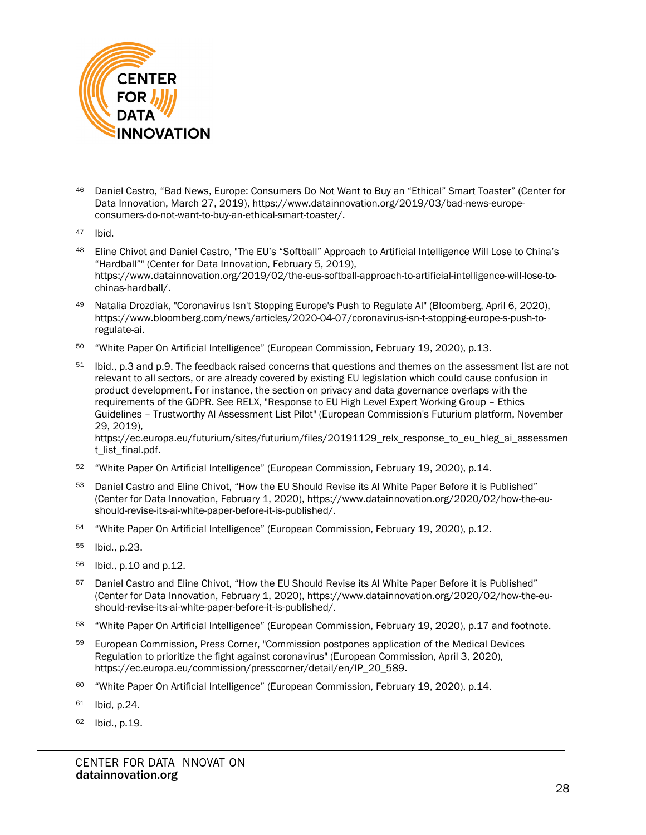

- <span id="page-27-0"></span><sup>46</sup> Daniel Castro, "Bad News, Europe: Consumers Do Not Want to Buy an "Ethical" Smart Toaster" (Center for Data Innovation, March 27, 2019), [https://www.datainnovation.org/2019/03/bad-news-europe](https://www.datainnovation.org/2019/03/bad-news-europe-consumers-do-not-want-to-buy-an-ethical-smart-toaster/)[consumers-do-not-want-to-buy-an-ethical-smart-toaster/.](https://www.datainnovation.org/2019/03/bad-news-europe-consumers-do-not-want-to-buy-an-ethical-smart-toaster/)
- <span id="page-27-1"></span><sup>47</sup> Ibid.
- <span id="page-27-2"></span>48 Eline Chivot and Daniel Castro, "The EU's "Softball" Approach to Artificial Intelligence Will Lose to China's "Hardball"" (Center for Data Innovation, February 5, 2019), [https://www.datainnovation.org/2019/02/the-eus-softball-approach-to-artificial-intelligence-will-lose-to](https://www.datainnovation.org/2019/02/the-eus-softball-approach-to-artificial-intelligence-will-lose-to-chinas-hardball/)[chinas-hardball/.](https://www.datainnovation.org/2019/02/the-eus-softball-approach-to-artificial-intelligence-will-lose-to-chinas-hardball/)
- <span id="page-27-3"></span><sup>49</sup> Natalia Drozdiak, "Coronavirus Isn't Stopping Europe's Push to Regulate AI" (Bloomberg, April 6, 2020), [https://www.bloomberg.com/news/articles/2020-04-07/coronavirus-isn-t-stopping-europe-s-push-to](https://www.bloomberg.com/news/articles/2020-04-07/coronavirus-isn-t-stopping-europe-s-push-to-regulate-ai)[regulate-ai.](https://www.bloomberg.com/news/articles/2020-04-07/coronavirus-isn-t-stopping-europe-s-push-to-regulate-ai)
- <span id="page-27-4"></span><sup>50</sup> "White Paper On Artificial Intelligence" (European Commission, February 19, 2020), p.13.
- <span id="page-27-5"></span><sup>51</sup> Ibid., p.3 and p.9. The feedback raised concerns that questions and themes on the assessment list are not relevant to all sectors, or are already covered by existing EU legislation which could cause confusion in product development. For instance, the section on privacy and data governance overlaps with the requirements of the GDPR. See RELX, "Response to EU High Level Expert Working Group – Ethics Guidelines – Trustworthy AI Assessment List Pilot" (European Commission's Futurium platform, November 29, 2019),

[https://ec.europa.eu/futurium/sites/futurium/files/20191129\\_relx\\_response\\_to\\_eu\\_hleg\\_ai\\_assessmen](https://ec.europa.eu/futurium/sites/futurium/files/20191129_relx_response_to_eu_hleg_ai_assessment_list_final.pdf) [t\\_list\\_final.pdf.](https://ec.europa.eu/futurium/sites/futurium/files/20191129_relx_response_to_eu_hleg_ai_assessment_list_final.pdf)

- <span id="page-27-6"></span><sup>52</sup> "White Paper On Artificial Intelligence" (European Commission, February 19, 2020), p.14.
- <span id="page-27-7"></span>53 Daniel Castro and Eline Chivot, "How the EU Should Revise its AI White Paper Before it is Published" (Center for Data Innovation, February 1, 2020), [https://www.datainnovation.org/2020/02/how-the-eu](https://www.datainnovation.org/2020/02/how-the-eu-should-revise-its-ai-white-paper-before-it-is-published/)[should-revise-its-ai-white-paper-before-it-is-published/.](https://www.datainnovation.org/2020/02/how-the-eu-should-revise-its-ai-white-paper-before-it-is-published/)
- <span id="page-27-8"></span><sup>54</sup> "White Paper On Artificial Intelligence" (European Commission, February 19, 2020), p.12.
- <span id="page-27-9"></span><sup>55</sup> Ibid., p.23.
- <span id="page-27-10"></span><sup>56</sup> Ibid., p.10 and p.12.
- <span id="page-27-11"></span>57 Daniel Castro and Eline Chivot, "How the EU Should Revise its AI White Paper Before it is Published" (Center for Data Innovation, February 1, 2020), [https://www.datainnovation.org/2020/02/how-the-eu](https://www.datainnovation.org/2020/02/how-the-eu-should-revise-its-ai-white-paper-before-it-is-published/)[should-revise-its-ai-white-paper-before-it-is-published/.](https://www.datainnovation.org/2020/02/how-the-eu-should-revise-its-ai-white-paper-before-it-is-published/)
- <span id="page-27-12"></span><sup>58</sup> "White Paper On Artificial Intelligence" (European Commission, February 19, 2020), p.17 and footnote.
- <span id="page-27-13"></span><sup>59</sup> European Commission, Press Corner, "Commission postpones application of the Medical Devices Regulation to prioritize the fight against coronavirus" (European Commission, April 3, 2020), [https://ec.europa.eu/commission/presscorner/detail/en/IP\\_20\\_589.](https://ec.europa.eu/commission/presscorner/detail/en/IP_20_589)
- <span id="page-27-14"></span><sup>60</sup> "White Paper On Artificial Intelligence" (European Commission, February 19, 2020), p.14.
- <span id="page-27-15"></span><sup>61</sup> Ibid, p.24.
- <span id="page-27-16"></span><sup>62</sup> Ibid., p.19.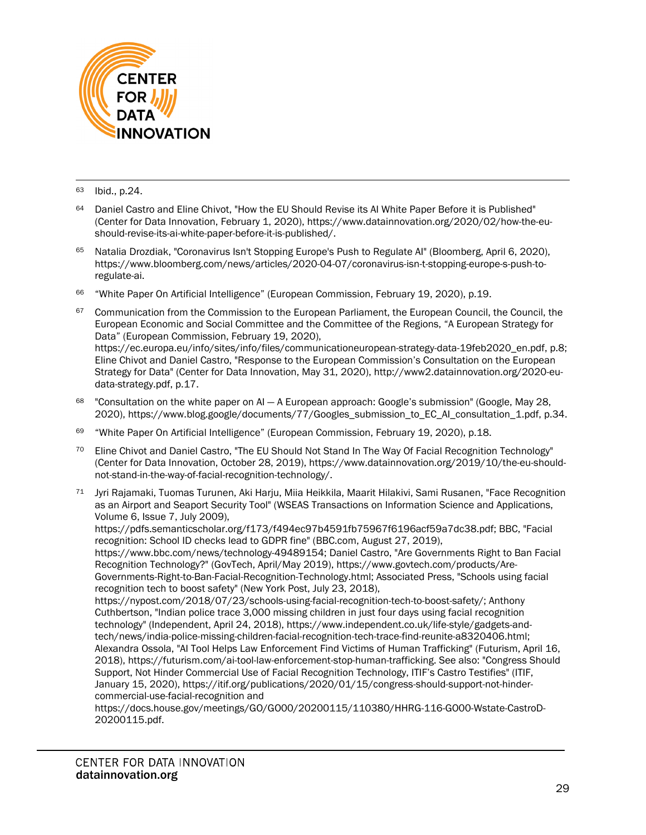

<sup>63</sup> Ibid., p.24.

- <span id="page-28-1"></span><span id="page-28-0"></span>64 Daniel Castro and Eline Chivot, "How the EU Should Revise its AI White Paper Before it is Published" (Center for Data Innovation, February 1, 2020), [https://www.datainnovation.org/2020/02/how-the-eu](https://www.datainnovation.org/2020/02/how-the-eu-should-revise-its-ai-white-paper-before-it-is-published/)[should-revise-its-ai-white-paper-before-it-is-published/.](https://www.datainnovation.org/2020/02/how-the-eu-should-revise-its-ai-white-paper-before-it-is-published/)
- <span id="page-28-2"></span><sup>65</sup> Natalia Drozdiak, "Coronavirus Isn't Stopping Europe's Push to Regulate AI" (Bloomberg, April 6, 2020), [https://www.bloomberg.com/news/articles/2020-04-07/coronavirus-isn-t-stopping-europe-s-push-to](https://www.bloomberg.com/news/articles/2020-04-07/coronavirus-isn-t-stopping-europe-s-push-to-regulate-ai)[regulate-ai.](https://www.bloomberg.com/news/articles/2020-04-07/coronavirus-isn-t-stopping-europe-s-push-to-regulate-ai)
- <span id="page-28-3"></span><sup>66</sup> "White Paper On Artificial Intelligence" (European Commission, February 19, 2020), p.19.
- <span id="page-28-4"></span>67 Communication from the Commission to the European Parliament, the European Council, the Council, the European Economic and Social Committee and the Committee of the Regions, "A European Strategy for Data" (European Commission, February 19, 2020),

[https://ec.europa.eu/info/sites/info/files/communicationeuropean-strategy-data-19feb2020\\_en.pdf,](https://ec.europa.eu/info/sites/info/files/communicationeuropean-strategy-data-19feb2020_en.pdf) p.8; Eline Chivot and Daniel Castro, "Response to the European Commission's Consultation on the European Strategy for Data" (Center for Data Innovation, May 31, 2020)[, http://www2.datainnovation.org/2020-eu](http://www2.datainnovation.org/2020-eu-data-strategy.pdf)[data-strategy.pdf,](http://www2.datainnovation.org/2020-eu-data-strategy.pdf) p.17.

- <span id="page-28-5"></span>"Consultation on the white paper on AI - A European approach: Google's submission" (Google, May 28, 2020), [https://www.blog.google/documents/77/Googles\\_submission\\_to\\_EC\\_AI\\_consultation\\_1.pdf,](https://www.blog.google/documents/77/Googles_submission_to_EC_AI_consultation_1.pdf) p.34.
- <span id="page-28-6"></span><sup>69</sup> "White Paper On Artificial Intelligence" (European Commission, February 19, 2020), p.18.
- <span id="page-28-7"></span><sup>70</sup> Eline Chivot and Daniel Castro, "The EU Should Not Stand In The Way Of Facial Recognition Technology" (Center for Data Innovation, October 28, 2019), [https://www.datainnovation.org/2019/10/the-eu-should](https://www.datainnovation.org/2019/10/the-eu-should-not-stand-in-the-way-of-facial-recognition-technology/)[not-stand-in-the-way-of-facial-recognition-technology/.](https://www.datainnovation.org/2019/10/the-eu-should-not-stand-in-the-way-of-facial-recognition-technology/)
- <span id="page-28-8"></span><sup>71</sup> Jyri Rajamaki, Tuomas Turunen, Aki Harju, Miia Heikkila, Maarit Hilakivi, Sami Rusanen, "Face Recognition as an Airport and Seaport Security Tool" (WSEAS Transactions on Information Science and Applications, Volume 6, Issue 7, July 2009), [https://pdfs.semanticscholar.org/f173/f494ec97b4591fb75967f6196acf59a7dc38.pdf;](https://pdfs.semanticscholar.org/f173/f494ec97b4591fb75967f6196acf59a7dc38.pdf) BBC, "Facial

recognition: School ID checks lead to GDPR fine" (BBC.com, August 27, 2019),

[https://www.bbc.com/news/technology-49489154;](https://www.bbc.com/news/technology-49489154) Daniel Castro, "Are Governments Right to Ban Facial Recognition Technology?" (GovTech, April/May 2019), [https://www.govtech.com/products/Are-](https://www.govtech.com/products/Are-Governments-Right-to-Ban-Facial-Recognition-Technology.html)[Governments-Right-to-Ban-Facial-Recognition-Technology.html;](https://www.govtech.com/products/Are-Governments-Right-to-Ban-Facial-Recognition-Technology.html) Associated Press, "Schools using facial recognition tech to boost safety" (New York Post, July 23, 2018),

https://nypost.com/2018/07/23/schools-using-facial-recognition-tech-to-boost-safety/; Anthony Cuthbertson, "Indian police trace 3,000 missing children in just four days using facial recognition technology" (Independent, April 24, 2018), https://www.independent.co.uk/life-style/gadgets-andtech/news/india-police-missing-children-facial-recognition-tech-trace-find-reunite-a8320406.html; Alexandra Ossola, "AI Tool Helps Law Enforcement Find Victims of Human Trafficking" (Futurism, April 16, 2018), [https://futurism.com/ai-tool-law-enforcement-stop-human-trafficking.](https://futurism.com/ai-tool-law-enforcement-stop-human-trafficking) See also: "Congress Should Support, Not Hinder Commercial Use of Facial Recognition Technology, ITIF's Castro Testifies" (ITIF, January 15, 2020), [https://itif.org/publications/2020/01/15/congress-should-support-not-hinder](https://itif.org/publications/2020/01/15/congress-should-support-not-hinder-commercial-use-facial-recognition)[commercial-use-facial-recognition](https://itif.org/publications/2020/01/15/congress-should-support-not-hinder-commercial-use-facial-recognition) and

[https://docs.house.gov/meetings/GO/GO00/20200115/110380/HHRG-116-GO00-Wstate-CastroD-](https://docs.house.gov/meetings/GO/GO00/20200115/110380/HHRG-116-GO00-Wstate-CastroD-20200115.pdf)[20200115.pdf.](https://docs.house.gov/meetings/GO/GO00/20200115/110380/HHRG-116-GO00-Wstate-CastroD-20200115.pdf)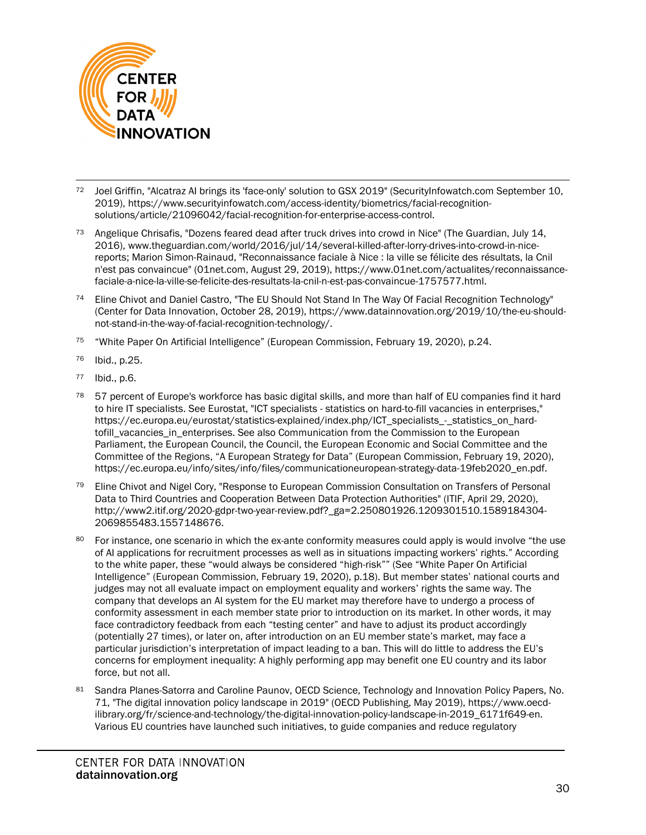

- <span id="page-29-0"></span><sup>72</sup> Joel Griffin, "Alcatraz AI brings its 'face-only' solution to GSX 2019" (SecurityInfowatch.com September 10, 2019), [https://www.securityinfowatch.com/access-identity/biometrics/facial-recognition](https://www.securityinfowatch.com/access-identity/biometrics/facial-recognition-solutions/article/21096042/facial-recognition-for-enterprise-access-control)[solutions/article/21096042/facial-recognition-for-enterprise-access-control.](https://www.securityinfowatch.com/access-identity/biometrics/facial-recognition-solutions/article/21096042/facial-recognition-for-enterprise-access-control)
- <span id="page-29-1"></span><sup>73</sup> Angelique Chrisafis, "Dozens feared dead after truck drives into crowd in Nice" (The Guardian, July 14, 2016), [www.theguardian.com/world/2016/jul/14/several-killed-after-lorry-drives-into-crowd-in-nice](http://www.theguardian.com/world/2016/jul/14/several-killed-after-lorry-drives-into-crowd-in-nice-reports)[reports;](http://www.theguardian.com/world/2016/jul/14/several-killed-after-lorry-drives-into-crowd-in-nice-reports) Marion Simon-Rainaud, "Reconnaissance faciale à Nice : la ville se félicite des résultats, la Cnil n'est pas convaincue" (01net.com, August 29, 2019), [https://www.01net.com/actualites/reconnaissance](https://www.01net.com/actualites/reconnaissance-faciale-a-nice-la-ville-se-felicite-des-resultats-la-cnil-n-est-pas-convaincue-1757577.html)[faciale-a-nice-la-ville-se-felicite-des-resultats-la-cnil-n-est-pas-convaincue-1757577.html.](https://www.01net.com/actualites/reconnaissance-faciale-a-nice-la-ville-se-felicite-des-resultats-la-cnil-n-est-pas-convaincue-1757577.html)
- <span id="page-29-2"></span><sup>74</sup> Eline Chivot and Daniel Castro, "The EU Should Not Stand In The Way Of Facial Recognition Technology" (Center for Data Innovation, October 28, 2019), [https://www.datainnovation.org/2019/10/the-eu-should](https://www.datainnovation.org/2019/10/the-eu-should-not-stand-in-the-way-of-facial-recognition-technology/)[not-stand-in-the-way-of-facial-recognition-technology/.](https://www.datainnovation.org/2019/10/the-eu-should-not-stand-in-the-way-of-facial-recognition-technology/)
- <span id="page-29-3"></span><sup>75</sup> "White Paper On Artificial Intelligence" (European Commission, February 19, 2020), p.24.
- <span id="page-29-4"></span><sup>76</sup> Ibid., p.25.
- <span id="page-29-5"></span><sup>77</sup> Ibid., p.6.
- <span id="page-29-6"></span><sup>78</sup> 57 percent of Europe's workforce has basic digital skills, and more than half of EU companies find it hard to hire IT specialists. See Eurostat, "ICT specialists - statistics on hard-to-fill vacancies in enterprises," [https://ec.europa.eu/eurostat/statistics-explained/index.php/ICT\\_specialists\\_-\\_statistics\\_on\\_hard](https://ec.europa.eu/eurostat/statistics-explained/index.php/ICT_specialists_-_statistics_on_hard-tofill_vacancies_in_enterprises)[tofill\\_vacancies\\_in\\_enterprises.](https://ec.europa.eu/eurostat/statistics-explained/index.php/ICT_specialists_-_statistics_on_hard-tofill_vacancies_in_enterprises) See also Communication from the Commission to the European Parliament, the European Council, the Council, the European Economic and Social Committee and the Committee of the Regions, "A European Strategy for Data" (European Commission, February 19, 2020), [https://ec.europa.eu/info/sites/info/files/communicationeuropean-strategy-data-19feb2020\\_en.pdf.](https://ec.europa.eu/info/sites/info/files/communicationeuropean-strategy-data-19feb2020_en.pdf)
- <span id="page-29-7"></span><sup>79</sup> Eline Chivot and Nigel Cory, "Response to European Commission Consultation on Transfers of Personal Data to Third Countries and Cooperation Between Data Protection Authorities" (ITIF, April 29, 2020), [http://www2.itif.org/2020-gdpr-two-year-review.pdf?\\_ga=2.250801926.1209301510.1589184304-](http://www2.itif.org/2020-gdpr-two-year-review.pdf?_ga=2.250801926.1209301510.1589184304-2069855483.1557148676) [2069855483.1557148676.](http://www2.itif.org/2020-gdpr-two-year-review.pdf?_ga=2.250801926.1209301510.1589184304-2069855483.1557148676)
- <span id="page-29-8"></span><sup>80</sup> For instance, one scenario in which the ex-ante conformity measures could apply is would involve "the use of AI applications for recruitment processes as well as in situations impacting workers' rights." According to the white paper, these "would always be considered "high-risk"" (See "White Paper On Artificial Intelligence" (European Commission, February 19, 2020), p.18). But member states' national courts and judges may not all evaluate impact on employment equality and workers' rights the same way. The company that develops an AI system for the EU market may therefore have to undergo a process of conformity assessment in each member state prior to introduction on its market. In other words, it may face contradictory feedback from each "testing center" and have to adjust its product accordingly (potentially 27 times), or later on, after introduction on an EU member state's market, may face a particular jurisdiction's interpretation of impact leading to a ban. This will do little to address the EU's concerns for employment inequality: A highly performing app may benefit one EU country and its labor force, but not all.
- <span id="page-29-9"></span>81 Sandra Planes-Satorra and Caroline Paunov, OECD Science, Technology and Innovation Policy Papers, No. 71, "The digital innovation policy landscape in 2019" (OECD Publishing, May 2019), [https://www.oecd](https://www.oecd-ilibrary.org/fr/science-and-technology/the-digital-innovation-policy-landscape-in-2019_6171f649-en)[ilibrary.org/fr/science-and-technology/the-digital-innovation-policy-landscape-in-2019\\_6171f649-en.](https://www.oecd-ilibrary.org/fr/science-and-technology/the-digital-innovation-policy-landscape-in-2019_6171f649-en) Various EU countries have launched such initiatives, to guide companies and reduce regulatory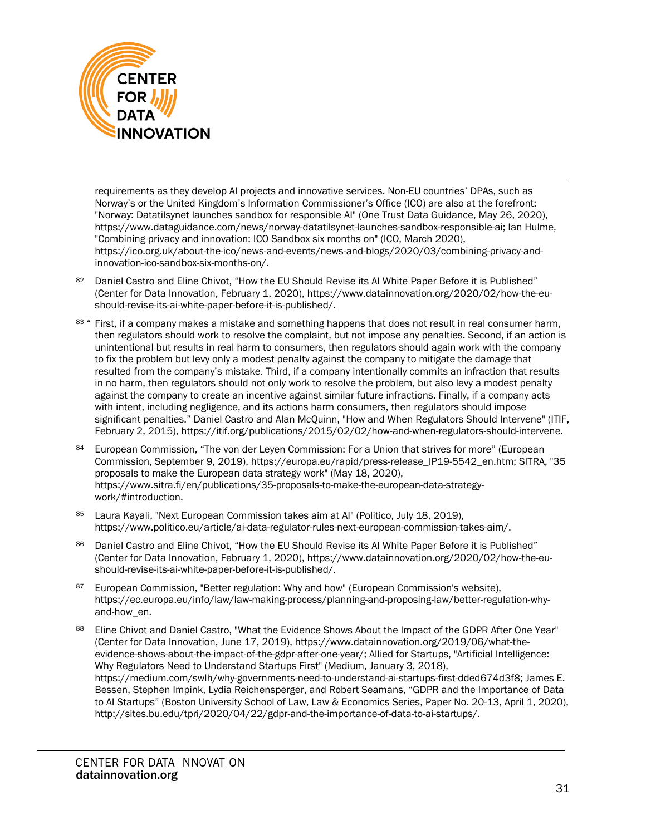

requirements as they develop AI projects and innovative services. Non-EU countries' DPAs, such as Norway's or the United Kingdom's Information Commissioner's Office (ICO) are also at the forefront: "Norway: Datatilsynet launches sandbox for responsible AI" (One Trust Data Guidance, May 26, 2020), [https://www.dataguidance.com/news/norway-datatilsynet-launches-sandbox-responsible-ai;](https://www.dataguidance.com/news/norway-datatilsynet-launches-sandbox-responsible-ai) Ian Hulme, "Combining privacy and innovation: ICO Sandbox six months on" (ICO, March 2020), [https://ico.org.uk/about-the-ico/news-and-events/news-and-blogs/2020/03/combining-privacy-and](https://ico.org.uk/about-the-ico/news-and-events/news-and-blogs/2020/03/combining-privacy-and-innovation-ico-sandbox-six-months-on/)[innovation-ico-sandbox-six-months-on/.](https://ico.org.uk/about-the-ico/news-and-events/news-and-blogs/2020/03/combining-privacy-and-innovation-ico-sandbox-six-months-on/) 

- <span id="page-30-0"></span>82 Daniel Castro and Eline Chivot, "How the EU Should Revise its AI White Paper Before it is Published" (Center for Data Innovation, February 1, 2020), [https://www.datainnovation.org/2020/02/how-the-eu](https://www.datainnovation.org/2020/02/how-the-eu-should-revise-its-ai-white-paper-before-it-is-published/)[should-revise-its-ai-white-paper-before-it-is-published/.](https://www.datainnovation.org/2020/02/how-the-eu-should-revise-its-ai-white-paper-before-it-is-published/)
- <span id="page-30-1"></span>83 " First, if a company makes a mistake and something happens that does not result in real consumer harm, then regulators should work to resolve the complaint, but not impose any penalties. Second, if an action is unintentional but results in real harm to consumers, then regulators should again work with the company to fix the problem but levy only a modest penalty against the company to mitigate the damage that resulted from the company's mistake. Third, if a company intentionally commits an infraction that results in no harm, then regulators should not only work to resolve the problem, but also levy a modest penalty against the company to create an incentive against similar future infractions. Finally, if a company acts with intent, including negligence, and its actions harm consumers, then regulators should impose significant penalties." Daniel Castro and Alan McQuinn, "How and When Regulators Should Intervene" (ITIF, February 2, 2015), [https://itif.org/publications/2015/02/02/how-and-when-regulators-should-intervene.](https://itif.org/publications/2015/02/02/how-and-when-regulators-should-intervene)
- <span id="page-30-2"></span>84 European Commission, "The von der Leyen Commission: For a Union that strives for more" (European Commission, September 9, 2019), [https://europa.eu/rapid/press-release\\_IP19-5542\\_en.htm;](https://europa.eu/rapid/press-release_IP19-5542_en.htm) SITRA, "35 proposals to make the European data strategy work" (May 18, 2020), [https://www.sitra.fi/en/publications/35-proposals-to-make-the-european-data-strategy](https://www.sitra.fi/en/publications/35-proposals-to-make-the-european-data-strategy-work/#introduction)[work/#introduction.](https://www.sitra.fi/en/publications/35-proposals-to-make-the-european-data-strategy-work/#introduction)
- <span id="page-30-3"></span>85 Laura Kayali, "Next European Commission takes aim at AI" (Politico, July 18, 2019). [https://www.politico.eu/article/ai-data-regulator-rules-next-european-commission-takes-aim/.](https://www.politico.eu/article/ai-data-regulator-rules-next-european-commission-takes-aim/)
- <span id="page-30-4"></span>86 Daniel Castro and Eline Chivot, "How the EU Should Revise its AI White Paper Before it is Published" (Center for Data Innovation, February 1, 2020), [https://www.datainnovation.org/2020/02/how-the-eu](https://www.datainnovation.org/2020/02/how-the-eu-should-revise-its-ai-white-paper-before-it-is-published/)[should-revise-its-ai-white-paper-before-it-is-published/.](https://www.datainnovation.org/2020/02/how-the-eu-should-revise-its-ai-white-paper-before-it-is-published/)
- <span id="page-30-5"></span><sup>87</sup> European Commission, "Better regulation: Why and how" (European Commission's website), [https://ec.europa.eu/info/law/law-making-process/planning-and-proposing-law/better-regulation-why](https://ec.europa.eu/info/law/law-making-process/planning-and-proposing-law/better-regulation-why-and-how_en)[and-how\\_en.](https://ec.europa.eu/info/law/law-making-process/planning-and-proposing-law/better-regulation-why-and-how_en)
- <span id="page-30-6"></span><sup>88</sup> Eline Chivot and Daniel Castro, "What the Evidence Shows About the Impact of the GDPR After One Year" (Center for Data Innovation, June 17, 2019)[, https://www.datainnovation.org/2019/06/what-the](https://www.datainnovation.org/2019/06/what-the-evidence-shows-about-the-impact-of-the-gdpr-after-one-year/)[evidence-shows-about-the-impact-of-the-gdpr-after-one-year/;](https://www.datainnovation.org/2019/06/what-the-evidence-shows-about-the-impact-of-the-gdpr-after-one-year/) Allied for Startups, "Artificial Intelligence: Why Regulators Need to Understand Startups First" (Medium, January 3, 2018), [https://medium.com/swlh/why-governments-need-to-understand-ai-startups-first-dded674d3f8;](https://medium.com/swlh/why-governments-need-to-understand-ai-startups-first-dded674d3f8) James E. Bessen, Stephen Impink, Lydia Reichensperger, and Robert Seamans, "GDPR and the Importance of Data to AI Startups" (Boston University School of Law, Law & Economics Series, Paper No. 20-13, April 1, 2020), [http://sites.bu.edu/tpri/2020/04/22/gdpr-and-the-importance-of-data-to-ai-startups/.](http://sites.bu.edu/tpri/2020/04/22/gdpr-and-the-importance-of-data-to-ai-startups/)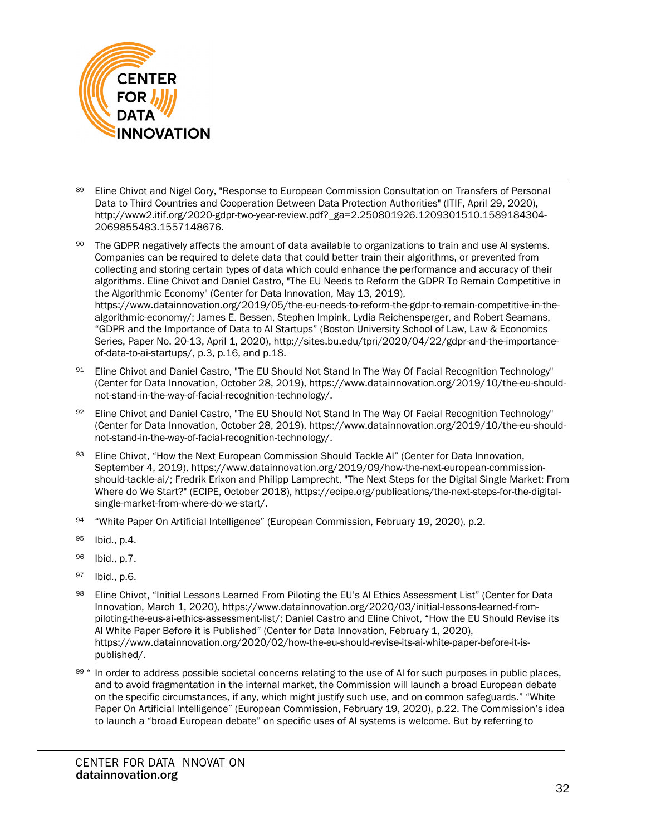

- <span id="page-31-0"></span>89 Eline Chivot and Nigel Cory, "Response to European Commission Consultation on Transfers of Personal Data to Third Countries and Cooperation Between Data Protection Authorities" (ITIF, April 29, 2020), [http://www2.itif.org/2020-gdpr-two-year-review.pdf?\\_ga=2.250801926.1209301510.1589184304-](http://www2.itif.org/2020-gdpr-two-year-review.pdf?_ga=2.250801926.1209301510.1589184304-2069855483.1557148676) [2069855483.1557148676.](http://www2.itif.org/2020-gdpr-two-year-review.pdf?_ga=2.250801926.1209301510.1589184304-2069855483.1557148676)
- <span id="page-31-1"></span>90 The GDPR negatively affects the amount of data available to organizations to train and use AI systems. Companies can be required to delete data that could better train their algorithms, or prevented from collecting and storing certain types of data which could enhance the performance and accuracy of their algorithms. Eline Chivot and Daniel Castro, "The EU Needs to Reform the GDPR To Remain Competitive in the Algorithmic Economy" (Center for Data Innovation, May 13, 2019), [https://www.datainnovation.org/2019/05/the-eu-needs-to-reform-the-gdpr-to-remain-competitive-in-the](https://www.datainnovation.org/2019/05/the-eu-needs-to-reform-the-gdpr-to-remain-competitive-in-the-algorithmic-economy/)[algorithmic-economy/;](https://www.datainnovation.org/2019/05/the-eu-needs-to-reform-the-gdpr-to-remain-competitive-in-the-algorithmic-economy/) James E. Bessen, Stephen Impink, Lydia Reichensperger, and Robert Seamans, "GDPR and the Importance of Data to AI Startups" (Boston University School of Law, Law & Economics Series, Paper No. 20-13, April 1, 2020)[, http://sites.bu.edu/tpri/2020/04/22/gdpr-and-the-importance](http://sites.bu.edu/tpri/2020/04/22/gdpr-and-the-importance-of-data-to-ai-startups/)[of-data-to-ai-startups/,](http://sites.bu.edu/tpri/2020/04/22/gdpr-and-the-importance-of-data-to-ai-startups/) p.3, p.16, and p.18.
- <span id="page-31-2"></span>91 Eline Chivot and Daniel Castro, "The EU Should Not Stand In The Way Of Facial Recognition Technology" (Center for Data Innovation, October 28, 2019), [https://www.datainnovation.org/2019/10/the-eu-should](https://www.datainnovation.org/2019/10/the-eu-should-not-stand-in-the-way-of-facial-recognition-technology/)[not-stand-in-the-way-of-facial-recognition-technology/.](https://www.datainnovation.org/2019/10/the-eu-should-not-stand-in-the-way-of-facial-recognition-technology/)
- <span id="page-31-3"></span>92 Eline Chivot and Daniel Castro, "The EU Should Not Stand In The Way Of Facial Recognition Technology" (Center for Data Innovation, October 28, 2019), [https://www.datainnovation.org/2019/10/the-eu-should](https://www.datainnovation.org/2019/10/the-eu-should-not-stand-in-the-way-of-facial-recognition-technology/)[not-stand-in-the-way-of-facial-recognition-technology/.](https://www.datainnovation.org/2019/10/the-eu-should-not-stand-in-the-way-of-facial-recognition-technology/)
- <span id="page-31-4"></span>93 Eline Chivot, "How the Next European Commission Should Tackle AI" (Center for Data Innovation, September 4, 2019), [https://www.datainnovation.org/2019/09/how-the-next-european-commission](https://www.datainnovation.org/2019/09/how-the-next-european-commission-should-tackle-ai/)[should-tackle-ai/;](https://www.datainnovation.org/2019/09/how-the-next-european-commission-should-tackle-ai/) Fredrik Erixon and Philipp Lamprecht, "The Next Steps for the Digital Single Market: From Where do We Start?" (ECIPE, October 2018)[, https://ecipe.org/publications/the-next-steps-for-the-digital](https://ecipe.org/publications/the-next-steps-for-the-digital-single-market-from-where-do-we-start/)[single-market-from-where-do-we-start/.](https://ecipe.org/publications/the-next-steps-for-the-digital-single-market-from-where-do-we-start/)
- <span id="page-31-5"></span>94 "White Paper On Artificial Intelligence" (European Commission, February 19, 2020), p.2.
- <span id="page-31-6"></span><sup>95</sup> Ibid., p.4.
- <span id="page-31-7"></span><sup>96</sup> Ibid., p.7.
- <span id="page-31-8"></span><sup>97</sup> Ibid., p.6.
- <span id="page-31-9"></span>98 Eline Chivot, "Initial Lessons Learned From Piloting the EU's AI Ethics Assessment List" (Center for Data Innovation, March 1, 2020), [https://www.datainnovation.org/2020/03/initial-lessons-learned-from](https://www.datainnovation.org/2020/03/initial-lessons-learned-from-piloting-the-eus-ai-ethics-assessment-list/)[piloting-the-eus-ai-ethics-assessment-list/;](https://www.datainnovation.org/2020/03/initial-lessons-learned-from-piloting-the-eus-ai-ethics-assessment-list/) Daniel Castro and Eline Chivot, "How the EU Should Revise its AI White Paper Before it is Published" (Center for Data Innovation, February 1, 2020), [https://www.datainnovation.org/2020/02/how-the-eu-should-revise-its-ai-white-paper-before-it-is](https://www.datainnovation.org/2020/02/how-the-eu-should-revise-its-ai-white-paper-before-it-is-published/)[published/.](https://www.datainnovation.org/2020/02/how-the-eu-should-revise-its-ai-white-paper-before-it-is-published/)
- <span id="page-31-10"></span>99 " In order to address possible societal concerns relating to the use of AI for such purposes in public places, and to avoid fragmentation in the internal market, the Commission will launch a broad European debate on the specific circumstances, if any, which might justify such use, and on common safeguards." "White Paper On Artificial Intelligence" (European Commission, February 19, 2020), p.22. The Commission's idea to launch a "broad European debate" on specific uses of AI systems is welcome. But by referring to